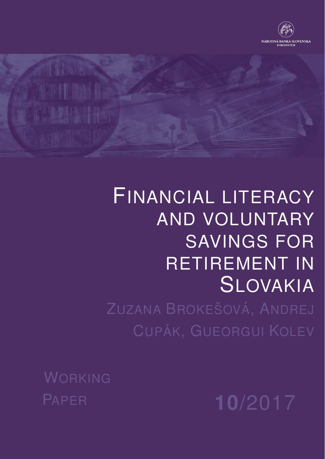



# FINANCIAL LITERACY AND VOLUNTARY SAVINGS FOR RETIREMENT IN SLOVAKIA

ZUZANA BROKEŠOVÁ, ANDREJ

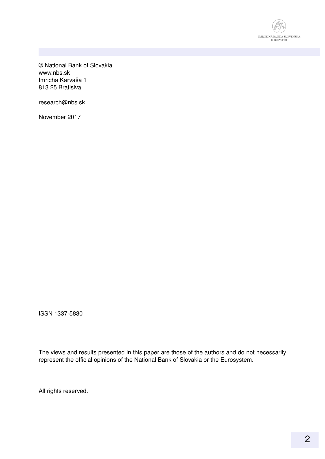

© National Bank of Slovakia www.nbs.sk Imricha Karvaša 1 813 25 Bratislva

research@nbs.sk

November 2017

ISSN 1337-5830

The views and results presented in this paper are those of the authors and do not necessarily represent the official opinions of the National Bank of Slovakia or the Eurosystem.

All rights reserved.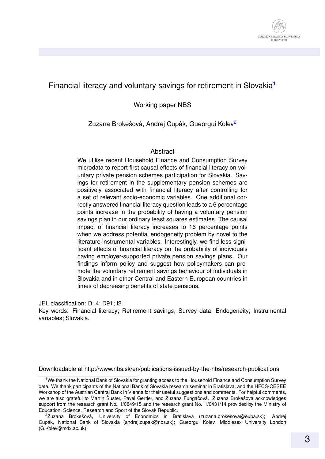

### Financial literacy and voluntary savings for retirement in Slovakia<sup>[1](#page-2-0)</sup>

#### Working paper NBS

Zuzana Brokešová, Andrej Cupák, Gueorgui Kolev<sup>[2](#page-2-1)</sup>

#### Abstract

We utilise recent Household Finance and Consumption Survey microdata to report first causal effects of financial literacy on voluntary private pension schemes participation for Slovakia. Savings for retirement in the supplementary pension schemes are positively associated with financial literacy after controlling for a set of relevant socio-economic variables. One additional correctly answered financial literacy question leads to a 6 percentage points increase in the probability of having a voluntary pension savings plan in our ordinary least squares estimates. The causal impact of financial literacy increases to 16 percentage points when we address potential endogeneity problem by novel to the literature instrumental variables. Interestingly, we find less significant effects of financial literacy on the probability of individuals having employer-supported private pension savings plans. Our findings inform policy and suggest how policymakers can promote the voluntary retirement savings behaviour of individuals in Slovakia and in other Central and Eastern European countries in times of decreasing benefits of state pensions.

JEL classification: D14; D91; I2.

Key words: Financial literacy; Retirement savings; Survey data; Endogeneity; Instrumental variables; Slovakia.

Downloadable at http://www.nbs.sk/en/publications-issued-by-the-nbs/research-publications

<span id="page-2-0"></span><sup>&</sup>lt;sup>1</sup>We thank the National Bank of Slovakia for granting access to the Household Finance and Consumption Survey data. We thank participants of the National Bank of Slovakia research seminar in Bratislava, and the HFCS-CESEE Workshop of the Austrian Central Bank in Vienna for their useful suggestions and comments. For helpful comments, we are also grateful to Martin Šuster, Pavel Gertler, and Zuzana Fungáčová. Zuzana Brokešová acknowledges support from the research grant No. 1/0849/15 and the research grant No. 1/0431/14 provided by the Ministry of Education, Science, Research and Sport of the Slovak Republic.

<span id="page-2-1"></span> ${}^{2}$ Zuzana Brokešová, University of Economics in Bratislava (zuzana.brokesova@euba.sk); Andrej Cupák, National Bank of Slovakia (andrej.cupak@nbs.sk); Gueorgui Kolev, Middlesex University London (G.Kolev@mdx.ac.uk).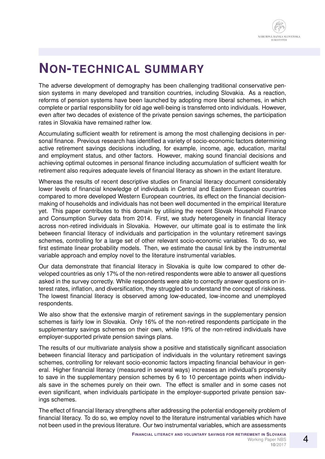### **NON-TECHNICAL SUMMARY**

The adverse development of demography has been challenging traditional conservative pension systems in many developed and transition countries, including Slovakia. As a reaction, reforms of pension systems have been launched by adopting more liberal schemes, in which complete or partial responsibility for old age well-being is transferred onto individuals. However, even after two decades of existence of the private pension savings schemes, the participation rates in Slovakia have remained rather low.

Accumulating sufficient wealth for retirement is among the most challenging decisions in personal finance. Previous research has identified a variety of socio-economic factors determining active retirement savings decisions including, for example, income, age, education, marital and employment status, and other factors. However, making sound financial decisions and achieving optimal outcomes in personal finance including accumulation of sufficient wealth for retirement also requires adequate levels of financial literacy as shown in the extant literature.

Whereas the results of recent descriptive studies on financial literacy document considerably lower levels of financial knowledge of individuals in Central and Eastern European countries compared to more developed Western European countries, its effect on the financial decisionmaking of households and individuals has not been well documented in the empirical literature yet. This paper contributes to this domain by utilising the recent Slovak Household Finance and Consumption Survey data from 2014. First, we study heterogeneity in financial literacy across non-retired individuals in Slovakia. However, our ultimate goal is to estimate the link between financial literacy of individuals and participation in the voluntary retirement savings schemes, controlling for a large set of other relevant socio-economic variables. To do so, we first estimate linear probability models. Then, we estimate the causal link by the instrumental variable approach and employ novel to the literature instrumental variables.

Our data demonstrate that financial literacy in Slovakia is quite low compared to other developed countries as only 17% of the non-retired respondents were able to answer all questions asked in the survey correctly. While respondents were able to correctly answer questions on interest rates, inflation, and diversification, they struggled to understand the concept of riskiness. The lowest financial literacy is observed among low-educated, low-income and unemployed respondents.

We also show that the extensive margin of retirement savings in the supplementary pension schemes is fairly low in Slovakia. Only 16% of the non-retired respondents participate in the supplementary savings schemes on their own, while 19% of the non-retired individuals have employer-supported private pension savings plans.

The results of our multivariate analysis show a positive and statistically significant association between financial literacy and participation of individuals in the voluntary retirement savings schemes, controlling for relevant socio-economic factors impacting financial behaviour in general. Higher financial literacy (measured in several ways) increases an individual's propensity to save in the supplementary pension schemes by 6 to 10 percentage points when individuals save in the schemes purely on their own. The effect is smaller and in some cases not even significant, when individuals participate in the employer-supported private pension savings schemes.

The effect of financial literacy strengthens after addressing the potential endogeneity problem of financial literacy. To do so, we employ novel to the literature instrumental variables which have not been used in the previous literature. Our two instrumental variables, which are assessments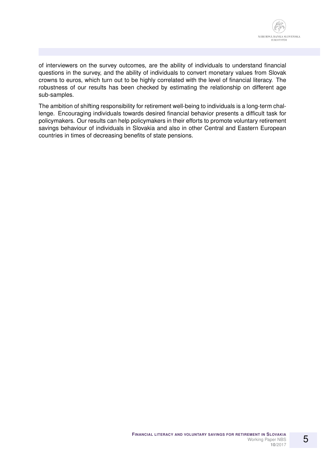of interviewers on the survey outcomes, are the ability of individuals to understand financial questions in the survey, and the ability of individuals to convert monetary values from Slovak crowns to euros, which turn out to be highly correlated with the level of financial literacy. The robustness of our results has been checked by estimating the relationship on different age sub-samples.

The ambition of shifting responsibility for retirement well-being to individuals is a long-term challenge. Encouraging individuals towards desired financial behavior presents a difficult task for policymakers. Our results can help policymakers in their efforts to promote voluntary retirement savings behaviour of individuals in Slovakia and also in other Central and Eastern European countries in times of decreasing benefits of state pensions.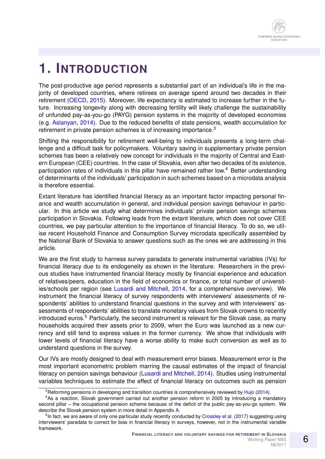# **1. INTRODUCTION**

The post-productive age period represents a substantial part of an individual's life in the majority of developed countries, where retirees on average spend around two decades in their retirement [\(OECD,](#page-22-0) [2015\)](#page-22-0). Moreover, life expectancy is estimated to increase further in the future. Increasing longevity along with decreasing fertility will likely challenge the sustainability of unfunded pay-as-you-go (PAYG) pension systems in the majority of developed economies (e.g. [Aslanyan,](#page-20-0) [2014\)](#page-20-0). Due to the reduced benefits of state pensions, wealth accumulation for retirement in private pension schemes is of increasing importance.<sup>[3](#page-5-0)</sup>

Shifting the responsibility for retirement well-being to individuals presents a long-term challenge and a difficult task for policymakers. Voluntary saving in supplementary private pension schemes has been a relatively new concept for individuals in the majority of Central and Eastern European (CEE) countries. In the case of Slovakia, even after two decades of its existence, participation rates of individuals in this pillar have remained rather low.[4](#page-5-1) Better understanding of determinants of the individuals' participation in such schemes based on a microdata analysis is therefore essential.

Extant literature has identified financial literacy as an important factor impacting personal finance and wealth accumulation in general, and individual pension savings behaviour in particular. In this article we study what determines individuals' private pension savings schemes participation in Slovakia. Following leads from the extant literature, which does not cover CEE countries, we pay particular attention to the importance of financial literacy. To do so, we utilise recent Household Finance and Consumption Survey microdata specifically assembled by the National Bank of Slovakia to answer questions such as the ones we are addressing in this article.

We are the first study to harness survey paradata to generate instrumental variables (IVs) for financial literacy due to its endogeneity as shown in the literature. Researchers in the previous studies have instrumented financial literacy mostly by financial experience and education of relatives/peers, education in the field of economics or finance, or total number of universities/schools per region (see [Lusardi and Mitchell,](#page-22-1) [2014,](#page-22-1) for a comprehensive overview). We instrument the financial literacy of survey respondents with interviewers' assessments of respondents' abilities to understand financial questions in the survey and with interviewers' assessments of respondents' abilities to translate monetary values from Slovak crowns to recently introduced euros.<sup>[5](#page-5-2)</sup> Particularly, the second instrument is relevant for the Slovak case, as many households acquired their assets prior to 2009, when the Euro was launched as a new currency and still tend to express values in the former currency. We show that individuals with lower levels of financial literacy have a worse ability to make such conversion as well as to understand questions in the survey.

Our IVs are mostly designed to deal with measurement error biases. Measurement error is the most important econometric problem marring the causal estimates of the impact of financial literacy on pension savings behaviour [\(Lusardi and Mitchell,](#page-22-1) [2014\)](#page-22-1). Studies using instrumental variables techniques to estimate the effect of financial literacy on outcomes such as pension

<span id="page-5-1"></span><span id="page-5-0"></span> $3R$ eforming pensions in developing and transition countries is comprehensively reviewed by [Hujo](#page-21-0) [\(2014\)](#page-21-0).

<sup>4</sup>As a reaction, Slovak government carried out another pension reform in 2005 by introducing a mandatory second pillar – the occupational pension scheme because of the deficit of the public pay-as-you-go system. We describe the Slovak pension system in more detail in Appendix [A.](#page-23-0)

<span id="page-5-2"></span><sup>&</sup>lt;sup>5</sup>In fact, we are aware of only one particular study recently conducted by [Crossley et al.](#page-21-1) [\(2017\)](#page-21-1) suggesting using interviewers' paradata to correct for bias in financial literacy in surveys, however, not in the instrumental variable framework.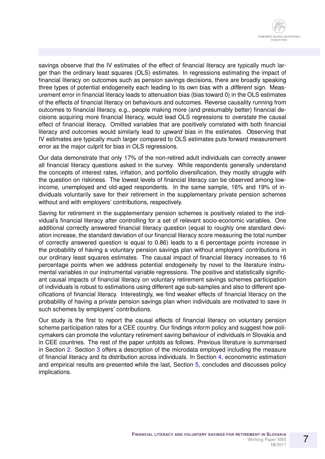savings observe that the IV estimates of the effect of financial literacy are typically much larger than the ordinary least squares (OLS) estimates. In regressions estimating the impact of financial literacy on outcomes such as pension savings decisions, there are broadly speaking three types of potential endogeneity each leading to its own bias with a *different* sign. Measurement error in financial literacy leads to attenuation bias (bias toward 0) in the OLS estimates of the effects of financial literacy on behaviours and outcomes. Reverse causality running from outcomes to financial literacy, e.g., people making more (and presumably better) financial decisions acquiring more financial literacy, would lead OLS regressions to *overstate* the causal effect of financial literacy. Omitted variables that are positively correlated with both financial literacy and outcomes would similarly lead to *upward* bias in the estimates. Observing that IV estimates are typically much larger compared to OLS estimates puts forward measurement error as the major culprit for bias in OLS regressions.

Our data demonstrate that only 17% of the non-retired adult individuals can correctly answer all financial literacy questions asked in the survey. While respondents generally understand the concepts of interest rates, inflation, and portfolio diversification, they mostly struggle with the question on riskiness. The lowest levels of financial literacy can be observed among lowincome, unemployed and old-aged respondents. In the same sample, 16% and 19% of individuals voluntarily save for their retirement in the supplementary private pension schemes without and with employers' contributions, respectively.

Saving for retirement in the supplementary pension schemes is positively related to the individual's financial literacy after controlling for a set of relevant socio-economic variables. One additional correctly answered financial literacy question (equal to roughly one standard deviation increase, the standard deviation of our financial literacy score measuring the total number of correctly answered question is equal to 0.86) leads to a 6 percentage points increase in the probability of having a voluntary pension savings plan without employers' contributions in our ordinary least squares estimates. The causal impact of financial literacy increases to 16 percentage points when we address potential endogeneity by novel to the literature instrumental variables in our instrumental variable regressions. The positive and statistically significant causal impacts of financial literacy on voluntary retirement savings schemes participation of individuals is robust to estimations using different age sub-samples and also to different specifications of financial literacy. Interestingly, we find weaker effects of financial literacy on the probability of having a private pension savings plan when individuals are motivated to save in such schemes by employers' contributions.

<span id="page-6-0"></span>Our study is the first to report the causal effects of financial literacy on voluntary pension scheme participation rates for a CEE country. Our findings inform policy and suggest how policymakers can promote the voluntary retirement saving behaviour of individuals in Slovakia and in CEE countries. The rest of the paper unfolds as follows. Previous literature is summarised in Section [2.](#page-6-0) Section [3](#page-8-0) offers a description of the microdata employed including the measure of financial literacy and its distribution across individuals. In Section [4,](#page-12-0) econometric estimation and empirical results are presented while the last, Section [5,](#page-18-0) concludes and discusses policy implications.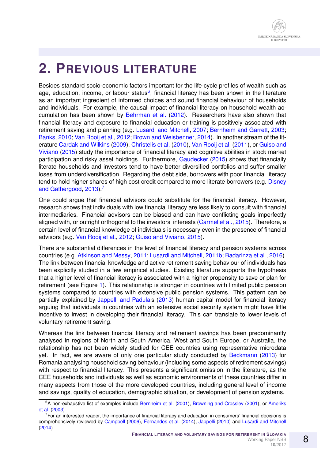# **2. PREVIOUS LITERATURE**

Besides standard socio-economic factors important for the life-cycle profiles of wealth such as age, education, income, or labour status<sup>[6](#page-7-0)</sup>, financial literacy has been shown in the literature as an important ingredient of informed choices and sound financial behaviour of households and individuals. For example, the causal impact of financial literacy on household wealth accumulation has been shown by [Behrman et al.](#page-20-1) [\(2012\)](#page-20-1). Researchers have also shown that financial literacy and exposure to financial education or training is positively associated with retirement saving and planning (e.g. [Lusardi and Mitchell,](#page-22-2) [2007;](#page-22-2) [Bernheim and Garrett,](#page-20-2) [2003;](#page-20-2) [Banks,](#page-20-3) [2010;](#page-20-3) [Van Rooij et al.,](#page-22-3) [2012;](#page-22-3) [Brown and Weisbenner,](#page-20-4) [2014\)](#page-20-4). In another stream of the literature [Cardak and Wilkins](#page-21-2) [\(2009\)](#page-21-2), [Christelis et al.](#page-21-3) [\(2010\)](#page-21-3), [Van Rooij et al.](#page-22-4) [\(2011\)](#page-22-4), or [Guiso and](#page-21-4) [Viviano](#page-21-4) [\(2015\)](#page-21-4) study the importance of financial literacy and cognitive abilities in stock market participation and risky asset holdings. Furthermore, [Gaudecker](#page-21-5) [\(2015\)](#page-21-5) shows that financially literate households and investors tend to have better diversified portfolios and suffer smaller loses from underdiversification. Regarding the debt side, borrowers with poor financial literacy tend to hold higher shares of high cost credit compared to more literate borrowers (e.g. [Disney](#page-21-6) [and Gathergood,](#page-21-6) [2013\)](#page-21-6).<sup>[7](#page-7-1)</sup>

One could argue that financial advisors could substitute for the financial literacy. However, research shows that individuals with low financial literacy are less likely to consult with financial intermediaries. Financial advisors can be biased and can have conflicting goals imperfectly aligned with, or outright orthogonal to the investors' interests [\(Carmel et al.,](#page-21-7) [2015\)](#page-21-7). Therefore, a certain level of financial knowledge of individuals is necessary even in the presence of financial advisors (e.g. [Van Rooij et al.,](#page-22-3) [2012;](#page-22-3) [Guiso and Viviano,](#page-21-4) [2015\)](#page-21-4).

There are substantial differences in the level of financial literacy and pension systems across countries (e.g. [Atkinson and Messy,](#page-20-5) [2011;](#page-20-5) [Lusardi and Mitchell,](#page-22-5) [2011b;](#page-22-5) [Badarinza et al.,](#page-20-6) [2016\)](#page-20-6). The link between financial knowledge and active retirement saving behaviour of individuals has been explicitly studied in a few empirical studies. Existing literature supports the hypothesis that a higher level of financial literacy is associated with a higher propensity to save or plan for retirement (see Figure [1\)](#page-8-1). This relationship is stronger in countries with limited public pension systems compared to countries with extensive public pension systems. This pattern can be partially explained by [Jappelli and Padula'](#page-21-8)s [\(2013\)](#page-21-8) human capital model for financial literacy arguing that individuals in countries with an extensive social security system might have little incentive to invest in developing their financial literacy. This can translate to lower levels of voluntary retirement saving.

Whereas the link between financial literacy and retirement savings has been predominantly analysed in regions of North and South America, West and South Europe, or Australia, the relationship has not been widely studied for CEE countries using representative microdata yet. In fact, we are aware of only one particular study conducted by [Beckmann](#page-20-7) [\(2013\)](#page-20-7) for Romania analysing household saving behaviour (including some aspects of retirement savings) with respect to financial literacy. This presents a significant omission in the literature, as the CEE households and individuals as well as economic environments of these countries differ in many aspects from those of the more developed countries, including general level of income and savings, quality of education, demographic situation, or development of pension systems.

<span id="page-7-0"></span><sup>&</sup>lt;sup>6</sup>A non-exhaustive list of examples include [Bernheim et al.](#page-20-8) [\(2001\)](#page-21-9), [Browning and Crossley](#page-21-9) (2001), or [Ameriks](#page-20-9) [et al.](#page-20-9) [\(2003\)](#page-20-9).

<span id="page-7-1"></span> $7$ For an interested reader, the importance of financial literacy and education in consumers' financial decisions is comprehensively reviewed by [Campbell](#page-21-10) [\(2006\)](#page-21-10), [Fernandes et al.](#page-21-11) [\(2014\)](#page-21-11), [Jappelli](#page-21-12) [\(2010\)](#page-21-12) and [Lusardi and Mitchell](#page-22-1) [\(2014\)](#page-22-1).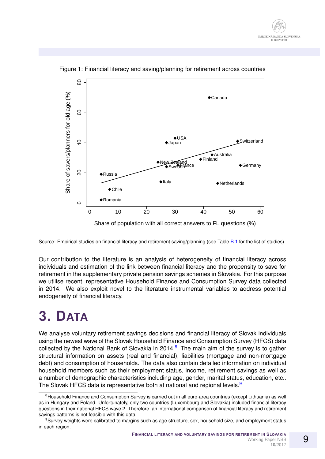<span id="page-8-1"></span>

Figure 1: Financial literacy and saving/planning for retirement across countries

Source: Empirical studies on financial literacy and retirement saving/planning (see Table [B.1](#page-11-0) for the list of studies)

Our contribution to the literature is an analysis of heterogeneity of financial literacy across individuals and estimation of the link between financial literacy and the propensity to save for retirement in the supplementary private pension savings schemes in Slovakia. For this purpose we utilise recent, representative Household Finance and Consumption Survey data collected in 2014. We also exploit novel to the literature instrumental variables to address potential endogeneity of financial literacy.

# <span id="page-8-0"></span>**3. DATA**

We analyse voluntary retirement savings decisions and financial literacy of Slovak individuals using the newest wave of the Slovak Household Finance and Consumption Survey (HFCS) data collected by the National Bank of Slovakia in 2014.<sup>[8](#page-8-2)</sup> The main aim of the survey is to gather structural information on assets (real and financial), liabilities (mortgage and non-mortgage debt) and consumption of households. The data also contain detailed information on individual household members such as their employment status, income, retirement savings as well as a number of demographic characteristics including age, gender, marital status, education, etc.. The Slovak HFCS data is representative both at national and regional levels.<sup>[9](#page-8-3)</sup>

<span id="page-8-2"></span><sup>&</sup>lt;sup>8</sup>Household Finance and Consumption Survey is carried out in all euro-area countries (except Lithuania) as well as in Hungary and Poland. Unfortunately, only two countries (Luxembourg and Slovakia) included financial literacy questions in their national HFCS wave 2. Therefore, an international comparison of financial literacy and retirement savings patterns is not feasible with this data.

<span id="page-8-3"></span><sup>&</sup>lt;sup>9</sup>Survey weights were calibrated to margins such as age structure, sex, household size, and employment status in each region.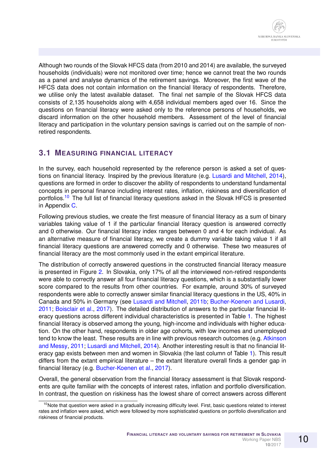Although two rounds of the Slovak HFCS data (from 2010 and 2014) are available, the surveyed households (individuals) were not monitored over time; hence we cannot treat the two rounds as a panel and analyse dynamics of the retirement savings. Moreover, the first wave of the HFCS data does not contain information on the financial literacy of respondents. Therefore, we utilise only the latest available dataset. The final net sample of the Slovak HFCS data consists of 2,135 households along with 4,658 individual members aged over 16. Since the questions on financial literacy were asked only to the reference persons of households, we discard information on the other household members. Assessment of the level of financial literacy and participation in the voluntary pension savings is carried out on the sample of nonretired respondents.

### **3.1 MEASURING FINANCIAL LITERACY**

In the survey, each household represented by the reference person is asked a set of questions on financial literacy. Inspired by the previous literature (e.g. [Lusardi and Mitchell,](#page-22-1) [2014\)](#page-22-1), questions are formed in order to discover the ability of respondents to understand fundamental concepts in personal finance including interest rates, inflation, riskiness and diversification of portfolios.<sup>[10](#page-9-0)</sup> The full list of financial literacy questions asked in the Slovak HFCS is presented in Appendix [C.](#page-26-0)

Following previous studies, we create the first measure of financial literacy as a sum of binary variables taking value of 1 if the particular financial literacy question is answered correctly and 0 otherwise. Our financial literacy index ranges between 0 and 4 for each individual. As an alternative measure of financial literacy, we create a dummy variable taking value 1 if all financial literacy questions are answered correctly and 0 otherwise. These two measures of financial literacy are the most commonly used in the extant empirical literature.

The distribution of correctly answered questions in the constructed financial literacy measure is presented in Figure [2.](#page-10-0) In Slovakia, only 17% of all the interviewed non-retired respondents were able to correctly answer all four financial literacy questions, which is a substantially lower score compared to the results from other countries. For example, around 30% of surveyed respondents were able to correctly answer similar financial literacy questions in the US, 40% in Canada and 50% in Germany (see [Lusardi and Mitchell,](#page-22-5) [2011b;](#page-22-5) [Bucher-Koenen and Lusardi,](#page-21-13) [2011;](#page-21-13) [Boisclair et al.,](#page-20-10) [2017\)](#page-20-10). The detailed distribution of answers to the particular financial literacy questions across different individual characteristics is presented in Table [1.](#page-11-0) The highest financial literacy is observed among the young, high-income and individuals with higher education. On the other hand, respondents in older age cohorts, with low incomes and unemployed tend to know the least. These results are in line with previous research outcomes (e.g. [Atkinson](#page-20-5) [and Messy,](#page-20-5) [2011;](#page-20-5) [Lusardi and Mitchell,](#page-22-1) [2014\)](#page-22-1). Another interesting result is that no financial literacy gap exists between men and women in Slovakia (the last column of Table [1\)](#page-11-0). This result differs from the extant empirical literature – the extant literature overall finds a gender gap in financial literacy (e.g. [Bucher-Koenen et al.,](#page-21-14) [2017\)](#page-21-14).

Overall, the general observation from the financial literacy assessment is that Slovak respondents are quite familiar with the concepts of interest rates, inflation and portfolio diversification. In contrast, the question on riskiness has the lowest share of correct answers across different

<span id="page-9-0"></span> $10$ Note that question were asked in a gradually increasing difficulty level. First, basic questions related to interest rates and inflation were asked, which were followed by more sophisticated questions on portfolio diversification and riskiness of financial products.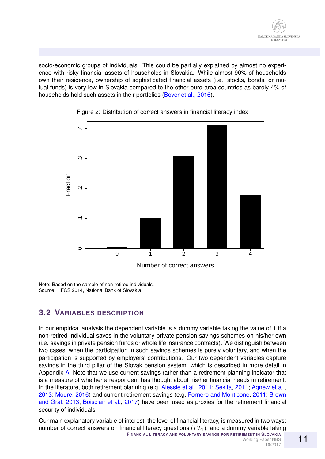socio-economic groups of individuals. This could be partially explained by almost no experience with risky financial assets of households in Slovakia. While almost 90% of households own their residence, ownership of sophisticated financial assets (i.e. stocks, bonds, or mutual funds) is very low in Slovakia compared to the other euro-area countries as barely 4% of households hold such assets in their portfolios [\(Bover et al.,](#page-20-11) [2016\)](#page-20-11).



<span id="page-10-0"></span>

Note: Based on the sample of non-retired individuals. Source: HFCS 2014, National Bank of Slovakia

### **3.2 VARIABLES DESCRIPTION**

In our empirical analysis the dependent variable is a dummy variable taking the value of 1 if a non-retired individual saves in the voluntary private pension savings schemes on his/her own (i.e. savings in private pension funds or whole life insurance contracts). We distinguish between two cases, when the participation in such savings schemes is purely voluntary, and when the participation is supported by employers' contributions. Our two dependent variables capture savings in the third pillar of the Slovak pension system, which is described in more detail in Appendix [A.](#page-23-0) Note that we use current savings rather than a retirement planning indicator that is a measure of whether a respondent has thought about his/her financial needs in retirement. In the literature, both retirement planning (e.g. [Alessie et al.,](#page-20-12) [2011;](#page-20-12) [Sekita,](#page-22-6) [2011;](#page-22-6) [Agnew et al.,](#page-20-13) [2013;](#page-20-13) [Moure,](#page-22-7) [2016\)](#page-22-7) and current retirement savings (e.g. [Fornero and Monticone,](#page-21-15) [2011;](#page-21-15) [Brown](#page-20-14) [and Graf,](#page-20-14) [2013;](#page-20-14) [Boisclair et al.,](#page-20-10) [2017\)](#page-20-10) have been used as proxies for the retirement financial security of individuals.

Our main explanatory variable of interest, the level of financial literacy, is measured in two ways: number of correct answers on financial literacy questions  $(FL<sub>1</sub>)$ , and a dummy variable taking **FINANCIAL LITERACY AND VOLUNTARY SAVINGS FOR RETIREMENT IN SLOVAKIA**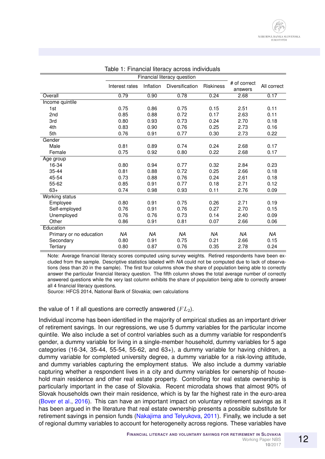|                         |                | Financial literacy question |                 |                  |                         |             |
|-------------------------|----------------|-----------------------------|-----------------|------------------|-------------------------|-------------|
|                         | Interest rates | Inflation                   | Diversification | <b>Riskiness</b> | # of correct<br>answers | All correct |
| Overall                 | 0.79           | 0.90                        | 0.78            | 0.24             | 2.68                    | 0.17        |
| Income quintile         |                |                             |                 |                  |                         |             |
| 1st                     | 0.75           | 0.86                        | 0.75            | 0.15             | 2.51                    | 0.11        |
| 2nd                     | 0.85           | 0.88                        | 0.72            | 0.17             | 2.63                    | 0.11        |
| 3rd                     | 0.80           | 0.93                        | 0.73            | 0.24             | 2.70                    | 0.18        |
| 4th                     | 0.83           | 0.90                        | 0.76            | 0.25             | 2.73                    | 0.16        |
| 5th                     | 0.76           | 0.91                        | 0.77            | 0.30             | 2.73                    | 0.22        |
| Gender                  |                |                             |                 |                  |                         |             |
| Male                    | 0.81           | 0.89                        | 0.74            | 0.24             | 2.68                    | 0.17        |
| Female                  | 0.75           | 0.92                        | 0.80            | 0.22             | 2.68                    | 0.17        |
| Age group               |                |                             |                 |                  |                         |             |
| 16-34                   | 0.80           | 0.94                        | 0.77            | 0.32             | 2.84                    | 0.23        |
| 35-44                   | 0.81           | 0.88                        | 0.72            | 0.25             | 2.66                    | 0.18        |
| 45-54                   | 0.73           | 0.88                        | 0.76            | 0.24             | 2.61                    | 0.18        |
| 55-62                   | 0.85           | 0.91                        | 0.77            | 0.18             | 2.71                    | 0.12        |
| $63+$                   | 0.74           | 0.98                        | 0.93            | 0.11             | 2.76                    | 0.09        |
| Working status          |                |                             |                 |                  |                         |             |
| Employee                | 0.80           | 0.91                        | 0.75            | 0.26             | 2.71                    | 0.19        |
| Self-employed           | 0.76           | 0.91                        | 0.76            | 0.27             | 2.70                    | 0.15        |
| Unemployed              | 0.76           | 0.76                        | 0.73            | 0.14             | 2.40                    | 0.09        |
| Other                   | 0.86           | 0.91                        | 0.81            | 0.07             | 2.66                    | 0.06        |
| Education               |                |                             |                 |                  |                         |             |
| Primary or no education | ΝA             | NA                          | NA              | <b>NA</b>        | NA                      | NA          |
| Secondary               | 0.80           | 0.91                        | 0.75            | 0.21             | 2.66                    | 0.15        |
| <b>Tertiary</b>         | 0.80           | 0.87                        | 0.76            | 0.35             | 2.78                    | 0.24        |

#### <span id="page-11-0"></span>Table 1: Financial literacy across individuals

Note: Average financial literacy scores computed using survey weights. Retired respondents have been excluded from the sample. Descriptive statistics labeled with *NA* could not be computed due to lack of observations (less than 20 in the sample). The first four columns show the share of population being able to correctly answer the particular financial literacy question. The fifth column shows the total average number of correctly answered questions while the very last column exhibits the share of population being able to correctly answer all 4 financial literacy questions.

Source: HFCS 2014, National Bank of Slovakia; own calculations

#### the value of 1 if all questions are correctly answered  $(FL<sub>2</sub>)$ .

Individual income has been identified in the majority of empirical studies as an important driver of retirement savings. In our regressions, we use 5 dummy variables for the particular income quintile. We also include a set of control variables such as a dummy variable for respondent's gender, a dummy variable for living in a single-member household, dummy variables for 5 age categories (16-34, 35-44, 55-54, 55-62, and 63+), a dummy variable for having children, a dummy variable for completed university degree, a dummy variable for a risk-loving attitude, and dummy variables capturing the employment status. We also include a dummy variable capturing whether a respondent lives in a city and dummy variables for ownership of household main residence and other real estate property. Controlling for real estate ownership is particularly important in the case of Slovakia. Recent microdata shows that almost 90% of Slovak households own their main residence, which is by far the highest rate in the euro-area [\(Bover et al.,](#page-20-11) [2016\)](#page-20-11). This can have an important impact on voluntary retirement savings as it has been argued in the literature that real estate ownership presents a possible substitute for retirement savings in pension funds [\(Nakajima and Telyukova,](#page-22-8) [2011\)](#page-22-8). Finally, we include a set of regional dummy variables to account for heterogeneity across regions. These variables have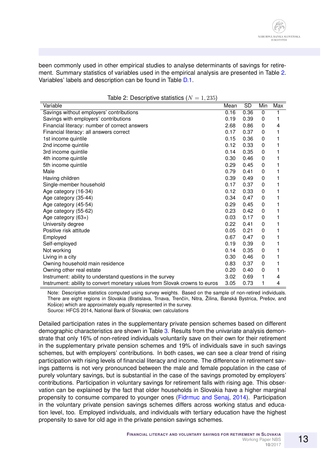been commonly used in other empirical studies to analyse determinants of savings for retire-ment. Summary statistics of variables used in the empirical analysis are presented in Table [2.](#page-12-1) Variables' labels and description can be found in Table [D.1.](#page-11-0)

| Variable                                                                   | Mean | SD   | Min         | Max |
|----------------------------------------------------------------------------|------|------|-------------|-----|
| Savings without employers' contributions                                   | 0.16 | 0.36 | $\mathbf 0$ |     |
| Savings with employers' contributions                                      | 0.19 | 0.39 | 0           |     |
| Financial literacy: number of correct answers                              | 2.68 | 0.86 | 0           | 4   |
| Financial literacy: all answers correct                                    | 0.17 | 0.37 | 0           | 1   |
| 1st income quintile                                                        | 0.15 | 0.36 | 0           | 1   |
| 2nd income quintile                                                        | 0.12 | 0.33 | 0           |     |
| 3rd income quintile                                                        | 0.14 | 0.35 | 0           |     |
| 4th income quintile                                                        | 0.30 | 0.46 | 0           |     |
| 5th income quintile                                                        | 0.29 | 0.45 | $\mathbf 0$ |     |
| Male                                                                       | 0.79 | 0.41 | 0           |     |
| Having children                                                            | 0.39 | 0.49 | 0           |     |
| Single-member household                                                    | 0.17 | 0.37 | 0           |     |
| Age category (16-34)                                                       | 0.12 | 0.33 | 0           |     |
| Age category (35-44)                                                       | 0.34 | 0.47 | 0           |     |
| Age category (45-54)                                                       | 0.29 | 0.45 | 0           | 1   |
| Age category (55-62)                                                       | 0.23 | 0.42 | 0           |     |
| Age category $(63+)$                                                       | 0.03 | 0.17 | 0           |     |
| University degree                                                          | 0.22 | 0.41 | 0           |     |
| Positive risk attitude                                                     | 0.05 | 0.21 | 0           |     |
| Employed                                                                   | 0.67 | 0.47 | $\mathbf 0$ |     |
| Self-employed                                                              | 0.19 | 0.39 | 0           | 1   |
| Not working                                                                | 0.14 | 0.35 | 0           |     |
| Living in a city                                                           | 0.30 | 0.46 | 0           | 1   |
| Owning household main residence                                            | 0.83 | 0.37 | 0           |     |
| Owning other real estate                                                   | 0.20 | 0.40 | 0           |     |
| Instrument: ability to understand questions in the survey                  | 3.02 | 0.69 | 1           | 4   |
| Instrument: ability to convert monetary values from Slovak crowns to euros | 3.05 | 0.73 | 1           | 4   |

<span id="page-12-1"></span>

| Table 2: Descriptive statistics ( $N = 1,235$ ) |  |
|-------------------------------------------------|--|
|-------------------------------------------------|--|

Note: Descriptive statistics computed using survey weights. Based on the sample of non-retired individuals. There are eight regions in Slovakia (Bratislava, Trnava, Trenčín, Nitra, Žilina, Banská Bystrica, Prešov, and Košice) which are approximately equally represented in the survey. Source: HFCS 2014, National Bank of Slovakia; own calculations

<span id="page-12-0"></span>Detailed participation rates in the supplementary private pension schemes based on different demographic characteristics are shown in Table [3.](#page-13-0) Results from the univariate analysis demonstrate that only 16% of non-retired individuals voluntarily save on their own for their retirement in the supplementary private pension schemes and 19% of individuals save in such savings schemes, but with employers' contributions. In both cases, we can see a clear trend of rising participation with rising levels of financial literacy and income. The difference in retirement savings patterns is not very pronounced between the male and female population in the case of purely voluntary savings, but is substantial in the case of the savings promoted by employers' contributions. Participation in voluntary savings for retirement falls with rising age. This observation can be explained by the fact that older households in Slovakia have a higher marginal propensity to consume compared to younger ones [\(Fidrmuc and Senaj,](#page-21-16) [2014\)](#page-21-16). Participation in the voluntary private pension savings schemes differs across working status and education level, too. Employed individuals, and individuals with tertiary education have the highest propensity to save for old age in the private pension savings schemes.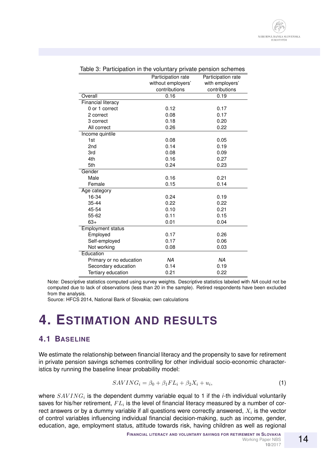|                           | Participation rate | Participation rate |
|---------------------------|--------------------|--------------------|
|                           | without employers' | with employers'    |
|                           | contributions      | contributions      |
| Overall                   | 0.16               | 0.19               |
| <b>Financial literacy</b> |                    |                    |
| 0 or 1 correct            | 0.12               | 0.17               |
| 2 correct                 | 0.08               | 0.17               |
| 3 correct                 | 0.18               | 0.20               |
| All correct               | 0.26               | 0.22               |
| Income quintile           |                    |                    |
| 1st                       | 0.08               | 0.05               |
| 2 <sub>nd</sub>           | 0.14               | 0.19               |
| 3rd                       | 0.08               | 0.09               |
| 4th                       | 0.16               | 0.27               |
| 5th                       | 0.24               | 0.23               |
| Gender                    |                    |                    |
| Male                      | 0.16               | 0.21               |
| Female                    | 0.15               | 0.14               |
| Age category              |                    |                    |
| 16-34                     | 0.24               | 0.19               |
| $35 - 44$                 | 0.22               | 0.22               |
| 45-54                     | 0.10               | 0.21               |
| 55-62                     | 0.11               | 0.15               |
| $63+$                     | 0.01               | 0.04               |
| <b>Employment status</b>  |                    |                    |
| Employed                  | 0.17               | 0.26               |
| Self-employed             | 0.17               | 0.06               |
| Not working               | 0.08               | 0.03               |
| Education                 |                    |                    |
| Primary or no education   | ΝA                 | ΝA                 |
| Secondary education       | 0.14               | 0.19               |
| Tertiary education        | 0.21               | 0.22               |

<span id="page-13-0"></span>

|  |  |  |  |  | Table 3: Participation in the voluntary private pension schemes |  |
|--|--|--|--|--|-----------------------------------------------------------------|--|
|--|--|--|--|--|-----------------------------------------------------------------|--|

Note: Descriptive statistics computed using survey weights. Descriptive statistics labeled with *NA* could not be computed due to lack of observations (less than 20 in the sample). Retired respondents have been excluded from the analysis.

Source: HFCS 2014, National Bank of Slovakia; own calculations

### **4. ESTIMATION AND RESULTS**

### **4.1 BASELINE**

We estimate the relationship between financial literacy and the propensity to save for retirement in private pension savings schemes controlling for other individual socio-economic characteristics by running the baseline linear probability model:

$$
SAVING_i = \beta_0 + \beta_1 FL_i + \beta_2 X_i + u_i,\tag{1}
$$

where  $\emph{SAVING}_{i}$  is the dependent dummy variable equal to 1 if the *i*-th individual voluntarily saves for his/her retirement,  $FL_i$  is the level of financial literacy measured by a number of correct answers or by a dummy variable if all questions were correctly answered,  $X_i$  is the vector of control variables influencing individual financial decision-making, such as income, gender, education, age, employment status, attitude towards risk, having children as well as regional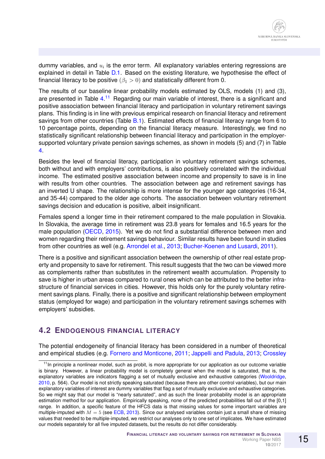dummy variables, and  $u_i$  is the error term. All explanatory variables entering regressions are explained in detail in Table [D.1.](#page-11-0) Based on the existing literature, we hypothesise the effect of financial literacy to be positive ( $\beta_1 > 0$ ) and statistically different from 0.

The results of our baseline linear probability models estimated by OLS, models (1) and (3), are presented in Table [4.](#page-17-0)<sup>[11](#page-14-0)</sup> Regarding our main variable of interest, there is a significant and positive association between financial literacy and participation in voluntary retirement savings plans. This finding is in line with previous empirical research on financial literacy and retirement savings from other countries (Table [B.1\)](#page-11-0). Estimated effects of financial literacy range from 6 to 10 percentage points, depending on the financial literacy measure. Interestingly, we find no statistically significant relationship between financial literacy and participation in the employersupported voluntary private pension savings schemes, as shown in models (5) and (7) in Table [4.](#page-17-0)

Besides the level of financial literacy, participation in voluntary retirement savings schemes, both without and with employers' contributions, is also positively correlated with the individual income. The estimated positive association between income and propensity to save is in line with results from other countries. The association between age and retirement savings has an inverted U shape. The relationship is more intense for the younger age categories (16-34, and 35-44) compared to the older age cohorts. The association between voluntary retirement savings decision and education is positive, albeit insignificant.

Females spend a longer time in their retirement compared to the male population in Slovakia. In Slovakia, the average time in retirement was 23.8 years for females and 16.5 years for the male population [\(OECD,](#page-22-0) [2015\)](#page-22-0). Yet we do not find a substantial difference between men and women regarding their retirement savings behaviour. Similar results have been found in studies from other countries as well (e.g. [Arrondel et al.,](#page-20-15) [2013;](#page-20-15) [Bucher-Koenen and Lusardi,](#page-21-13) [2011\)](#page-21-13).

There is a positive and significant association between the ownership of other real estate property and propensity to save for retirement. This result suggests that the two can be viewed more as complements rather than substitutes in the retirement wealth accumulation. Propensity to save is higher in urban areas compared to rural ones which can be attributed to the better infrastructure of financial services in cities. However, this holds only for the purely voluntary retirement savings plans. Finally, there is a positive and significant relationship between employment status (employed for wage) and participation in the voluntary retirement savings schemes with employers' subsidies.

### **4.2 ENDOGENOUS FINANCIAL LITERACY**

The potential endogeneity of financial literacy has been considered in a number of theoretical and empirical studies (e.g. [Fornero and Monticone,](#page-21-15) [2011;](#page-21-15) [Jappelli and Padula,](#page-21-8) [2013;](#page-21-8) [Crossley](#page-21-1)

<span id="page-14-0"></span> $11$ [In principle a nonlinear model, such as probit, is more appropriate for our application as our outcome variable](#page-21-1) [is binary. However, a linear probability model is completely general when the model is saturated, that is, the](#page-21-1) [explanatory variables are indicators flagging a set of mutually exclusive and exhaustive categories \(Wooldridge,](#page-21-1) [2010, p. 564\). Our model is not strictly speaking saturated \(because there are other control variables\), but our main](#page-21-1) [explanatory variables of interest are dummy variables that flag a set of mutually exclusive and exhaustive categories.](#page-21-1) [So we might say that our model is "nearly saturated", and as such the linear probability model is an appropriate](#page-21-1) [estimation method for our application. Empirically speaking, none of the predicted probabilities fall out of the \[0,1\]](#page-21-1) [range. In addition, a specific feature of the HFCS data is that missing values for some important variables are](#page-21-1) multiple-imputed with  $M = 5$  (see [ECB,](#page-21-17) [2013\). Since our analysed variables contain just a small share of missing](#page-21-1) [values that needed to be multiple-imputed, we restrict our analyses only to one set of implicates. We have estimated](#page-21-1) [our models separately for all five imputed datasets, but the results do not differ considerably.](#page-21-1)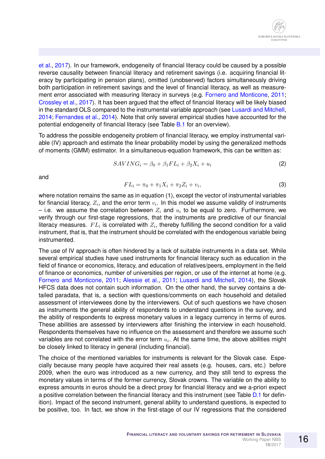[et al.,](#page-21-1) [2017\)](#page-21-1). In our framework, endogeneity of financial literacy could be caused by a possible reverse causality between financial literacy and retirement savings (i.e. acquiring financial literacy by participating in pension plans), omitted (unobserved) factors simultaneously driving both participation in retirement savings and the level of financial literacy, as well as measurement error associated with measuring literacy in surveys (e.g. [Fornero and Monticone,](#page-21-15) [2011;](#page-21-15) [Crossley et al.,](#page-21-1) [2017\)](#page-21-1). It has been argued that the effect of financial literacy will be likely biased in the standard OLS compared to the instrumental variable approach (see [Lusardi and Mitchell,](#page-22-1) [2014;](#page-22-1) [Fernandes et al.,](#page-21-11) [2014\)](#page-21-11). Note that only several empirical studies have accounted for the potential endogeneity of financial literacy (see Table [B.1](#page-11-0) for an overview).

To address the possible endogeneity problem of financial literacy, we employ instrumental variable (IV) approach and estimate the linear probability model by using the generalized methods of moments (GMM) estimator. In a simultaneous-equation framework, this can be written as:

$$
SAVING_i = \beta_0 + \beta_1 FL_i + \beta_2 X_i + u_i \tag{2}
$$

and

$$
FL_i = \pi_0 + \pi_1 X_i + \pi_2 Z_i + v_i,
$$
\n(3)

where notation remains the same as in equation (1), except the vector of instrumental variables for financial literacy,  $Z_i$ , and the error term  $v_i.$  In this model we assume validity of instruments – i.e. we assume the correlation between  $Z_i$  and  $u_i$  to be equal to zero. Furthermore, we verify through our first-stage regressions, that the instruments are predictive of our financial literacy measures.  $FL_i$  is correlated with  $Z_i$ , thereby fulfilling the second condition for a valid instrument, that is, that the instrument should be correlated with the endogenous variable being instrumented.

The use of IV approach is often hindered by a lack of suitable instruments in a data set. While several empirical studies have used instruments for financial literacy such as education in the field of finance or economics, literacy, and education of relatives/peers, employment in the field of finance or economics, number of universities per region, or use of the internet at home (e.g. [Fornero and Monticone,](#page-21-15) [2011;](#page-21-15) [Alessie et al.,](#page-20-12) [2011;](#page-20-12) [Lusardi and Mitchell,](#page-22-1) [2014\)](#page-22-1), the Slovak HFCS data does not contain such information. On the other hand, the survey contains a detailed paradata, that is, a section with questions/comments on each household and detailed assessment of interviewees done by the interviewers. Out of such questions we have chosen as instruments the general ability of respondents to understand questions in the survey, and the ability of respondents to express monetary values in a legacy currency in terms of euros. These abilities are assessed by interviewers after finishing the interview in each household. Respondents themselves have no influence on the assessment and therefore we assume such variables are not correlated with the error term  $u_i$ . At the same time, the above abilities might be closely linked to literacy in general (including financial).

The choice of the mentioned variables for instruments is relevant for the Slovak case. Especially because many people have acquired their real assets (e.g. houses, cars, etc.) before 2009, when the euro was introduced as a new currency, and they still tend to express the monetary values in terms of the former currency, Slovak crowns. The variable on the ability to express amounts in euros should be a direct proxy for financial literacy and we a-priori expect a positive correlation between the financial literacy and this instrument (see Table [D.1](#page-11-0) for definition). Impact of the second instrument, general ability to understand questions, is expected to be positive, too. In fact, we show in the first-stage of our IV regressions that the considered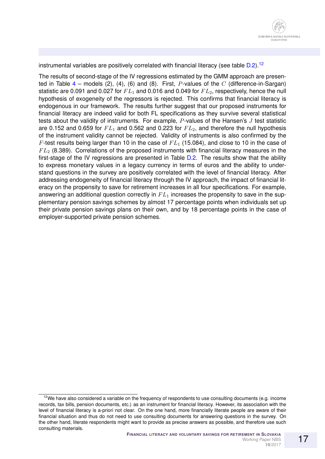instrumental variables are positively correlated with financial literacy (see table [D.2\)](#page-12-1).<sup>[12](#page-16-0)</sup>

The results of second-stage of the IV regressions estimated by the GMM approach are presen-ted in Table [4](#page-17-0) – models (2), (4), (6) and (8). First, P-values of the C (difference-in-Sargan) statistic are 0.091 and 0.027 for  $FL_1$  and 0.016 and 0.049 for  $FL_2$ , respectively, hence the null hypothesis of exogeneity of the regressors is rejected. This confirms that financial literacy is endogenous in our framework. The results further suggest that our proposed instruments for financial literacy are indeed valid for both FL specifications as they survive several statistical tests about the validity of instruments. For example,  $P$ -values of the Hansen's  $J$  test statistic are 0.152 and 0.659 for  $FL_1$  and 0.562 and 0.223 for  $FL_2$ , and therefore the null hypothesis of the instrument validity cannot be rejected. Validity of instruments is also confirmed by the F-test results being larger than 10 in the case of  $FL_1$  (15.084), and close to 10 in the case of  $FL_2$  (8.389). Correlations of the proposed instruments with financial literacy measures in the first-stage of the IV regressions are presented in Table [D.2.](#page-12-1) The results show that the ability to express monetary values in a legacy currency in terms of euros and the ability to understand questions in the survey are positively correlated with the level of financial literacy. After addressing endogeneity of financial literacy through the IV approach, the impact of financial literacy on the propensity to save for retirement increases in all four specifications. For example, answering an additional question correctly in  $FL_1$  increases the propensity to save in the supplementary pension savings schemes by almost 17 percentage points when individuals set up their private pension savings plans on their own, and by 18 percentage points in the case of employer-supported private pension schemes.

<span id="page-16-0"></span><sup>&</sup>lt;sup>12</sup>We have also considered a variable on the frequency of respondents to use consulting documents (e.g. income records, tax bills, pension documents, etc.) as an instrument for financial literacy. However, its association with the level of financial literacy is a-priori not clear. On the one hand, more financially literate people are aware of their financial situation and thus do not need to use consulting documents for answering questions in the survey. On the other hand, literate respondents might want to provide as precise answers as possible, and therefore use such consulting materials.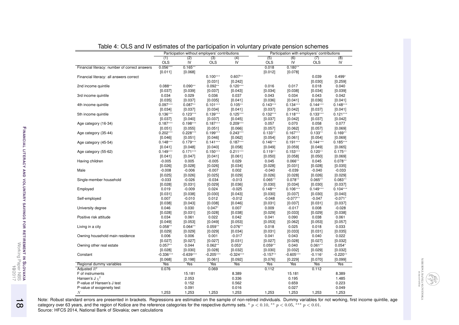|                                               | Participation without employers' contributions |                  |             | Participation with employers' contributions |            |                  |                  |            |
|-----------------------------------------------|------------------------------------------------|------------------|-------------|---------------------------------------------|------------|------------------|------------------|------------|
|                                               | (1)                                            | $\overline{(2)}$ | (3)         | (4)                                         | (5)        | (6)              | (7)              | (8)        |
|                                               | <b>OLS</b>                                     | İV               | <b>OLS</b>  | IV                                          | <b>OLS</b> | IV               | <b>OLS</b>       | IV         |
| Financial literacy: number of correct answers | $0.056***$                                     | $0.165***$       |             |                                             | 0.018      | $0.180**$        |                  |            |
|                                               | [0.011]                                        | [0.068]          |             |                                             | [0.012]    | [0.078]          |                  |            |
| Financial literacy: all answers correct       |                                                |                  | $0.100***$  | $0.607**$                                   |            |                  | 0.039            | $0.499*$   |
|                                               |                                                |                  | [0.031]     | [0.242]                                     |            |                  | [0.030]          | [0.259]    |
| 2nd income quintile                           | $0.088**$                                      | $0.090**$        | $0.092**$   | $0.120***$                                  | 0.016      | 0.017            | 0.018            | 0.040      |
|                                               | [0.037]                                        | [0.039]          | [0.037]     | [0.043]                                     | [0.034]    | [0.038]          | [0.034]          | [0.039]    |
| 3rd income quintile                           | 0.034                                          | 0.029            | 0.036       | 0.037                                       | 0.043      | 0.034            | 0.043            | 0.042      |
|                                               | [0.035]                                        | [0.037]          | [0.035]     | [0.041]                                     | [0.036]    | [0.041]          | [0.036]          | [0.041]    |
| 4th income quintile                           | $0.097***$                                     | $0.087**$        | $0.101***$  | $0.105**$                                   | $0.143***$ | $0.134***$       | $0.144***$       | $0.148***$ |
|                                               | [0.034]                                        | [0.037]          | [0.034]     | [0.041]                                     | [0.037]    | [0.042]          | [0.037]          | [0.041]    |
| 5th income quintile                           | $0.136***$                                     | $0.123***$       | $0.139***$  | $0.125***$                                  | $0.132***$ | $0.118***$       | $0.133***$       | $0.121***$ |
|                                               | [0.037]                                        | [0.040]          | [0.037]     | [0.045]                                     | [0.037]    | [0.042]          | [0.037]          | $[0.042]$  |
| Age category (16-34)                          | $0.187***$                                     | $0.198***$       | $0.187***$  | $0.209***$                                  | 0.057      | 0.070            | 0.058            | 0.077      |
|                                               | [0.051]                                        | [0.055]          | [0.051]     | [0.066]                                     | [0.057]    | [0.062]          | [0.057]          | [0.069]    |
| Age category (35-44)                          | $0.202***$                                     | $0.228***$       | $0.199***$  | $0.243***$                                  | $0.133**$  | $0.167***$       | $0.133**$        | $0.169**$  |
|                                               | [0.046]                                        | [0.051]          | [0.046]     | [0.062]                                     | [0.054]    | [0.061]          | $[0.054]$        | [0.069]    |
| Age category (45-54)                          | $0.148***$                                     | $0.179***$       | $0.141***$  | $0.187***$                                  | $0.146***$ | $0.191***$       | $0.144***$       | $0.185***$ |
|                                               | [0.041]                                        | [0.048]          | [0.040]     | [0.058]                                     | [0.049]    | [0.059]          | $[0.049]$        | [0.065]    |
| Age category (55-62)                          | $0.149***$                                     | $0.171***$       | $0.150***$  | $0.211***$                                  | $0.119**$  | $0.153***$       | $0.120**$        | $0.175***$ |
|                                               | [0.041]                                        | [0.047]          | [0.041]     | [0.061]                                     | [0.050]    | [0.058]          | [0.050]          | [0.069]    |
| Having children                               | $-0.005$                                       | 0.005            | $-0.005$    | 0.029                                       | 0.045      | $0.066**$        | 0.045            | $0.078**$  |
|                                               | [0.026]                                        | [0.028]          | [0.026]     | [0.034]                                     | [0.028]    | [0.031]          | [0.028]          | [0.035]    |
| Male                                          | $-0.008$                                       | $-0.006$         | $-0.007$    | 0.002                                       | $-0.040$   | $-0.039$         | $-0.040$         | $-0.033$   |
|                                               | [0.025]                                        | [0.026]          | [0.025]     | [0.029]                                     | [0.026]    | [0.028]          | [0.026]          | [0.029]    |
| Single-member household                       | $-0.033$                                       | $-0.026$         | $-0.034$    | $-0.013$                                    | $0.065**$  | $0.078**$        | $0.065**$        | $0.083**$  |
|                                               | [0.028]                                        | [0.031]          | [0.029]     | [0.036]                                     | [0.030]    | [0.034]          | [0.030]          | [0.037]    |
| Employed                                      | 0.019                                          | $-0.009$         | 0.024       | $-0.025$                                    | $0.148***$ | $0.106***$       | $0.149***$       | $0.104***$ |
|                                               | [0.031]                                        | [0.038]          | [0.030]     | [0.043]                                     | [0.030]    | [0.037]          | [0.030]          | [0.040]    |
| Self-employed                                 | 0.007                                          | $-0.010$         | 0.012       | $-0.012$                                    | $-0.048$   | $-0.077**$       | $-0.047$         | $-0.071*$  |
|                                               | [0.038]                                        | [0.043]          | [0.038]     | [0.046]                                     | [0.031]    | [0.037]          | [0.031]          | [0.037]    |
| University degree                             | 0.046                                          | 0.030            | $0.047*$    | 0.007                                       | 0.009      | $-0.017$         | 0.008            | $-0.028$   |
|                                               | [0.028]                                        | [0.031]          | [0.028]     | [0.038]                                     | [0.029]    | [0.033]          | [0.029]          | [0.038]    |
| Positive risk attitude                        | 0.034                                          | 0.061            | 0.022       | 0.042                                       | 0.041      | 0.090            | 0.038            | 0.061      |
|                                               | [0.049]                                        | [0.053]          | [0.049]     | [0.053]                                     | [0.053]    | [0.062]          | [0.053]          | [0.057]    |
| Living in a city                              | $0.058**$                                      | $0.064**$        | $0.059**$   | $0.076**$                                   | 0.018      | 0.025            | 0.018            | 0.033      |
|                                               |                                                |                  |             |                                             |            |                  |                  |            |
|                                               | [0.029]<br>0.006                               | [0.029]<br>0.006 | [0.029]     | [0.034]<br>$-0.017$                         | [0.031]    | [0.033]<br>0.043 | [0.031]<br>0.040 | [0.035]    |
| Owning household main residence               |                                                |                  | 0.001       |                                             | 0.041      |                  |                  | 0.022      |
|                                               | [0.027]                                        | [0.027]          | [0.027]     | [0.031]                                     | [0.027]    | [0.028]          | [0.027]          | [0.032]    |
| Owning other real estate                      | $0.057**$                                      | 0.044            | $0.062**$   | $0.053*$                                    | $0.059**$  | 0.040            | $0.061**$        | $0.054*$   |
|                                               | [0.028]                                        | [0.030]          | [0.028]     | [0.032]                                     | [0.030]    | [0.032]          | [0.029]          | [0.032]    |
| Constant                                      | $-0.336***$                                    | $-0.639***$      | $-0.205***$ | $-0.324***$                                 | $-0.157**$ | $-0.605***$      | $-0.116*$        | $-0.220**$ |
|                                               | [0.068]                                        | [0.198]          | [0.061]     | [0.092]                                     | [0.076]    | [0.229]          | [0.070]          | [0.099]    |
| Regional dummy variables                      | Yes                                            | Yes              | Yes         | Yes                                         | Yes        | Yes              | Yes              | <b>Yes</b> |
| Adjusted $R^2$                                | 0.076                                          |                  | 0.069       |                                             | 0.112      |                  | 0.112            |            |
| F of instruments                              |                                                | 15.181           |             | 8.389                                       |            | 15.181           |                  | 8.389      |
| Hansen's J $\chi^2$                           |                                                | 2.053            |             | 0.336                                       |            | 0.195            |                  | 1.485      |
| P-value of Hansen's J test                    |                                                | 0.152            |             | 0.562                                       |            | 0.659            |                  | 0.223      |
| P-value of exogeneity test                    |                                                | 0.091            |             | 0.016                                       |            | 0.027            |                  | 0.049      |
| N                                             | 1,253                                          | 1,253            | 1,253       | 1,253                                       | 1,253      | 1,253            | 1,253            | 1,253      |

<span id="page-17-0"></span>Table 4: OLS and IV estimates of the participation in voluntary private pension schemes

 $\frac{N}{N}$  1,253 1,253 1,253 1,253 1,253 1,253 1,253 1,253 1,253 1,253 1,253 1,253 1,253 1,253 1,253 1,253 1,253 1,253 1,253 1,253 1,253 1,253 1,253 1,253 1,253 1,253 1,253 1,253 1,253 1,253 1,253 1,253 1,253 1,253 1,253 1

Source: HFCS 2014, National Bank of Slovakia; own calculations

NÁRODNÁ BANKA SLOVENSKA<br>EUROSYSTÉM

 $\frac{1}{8}$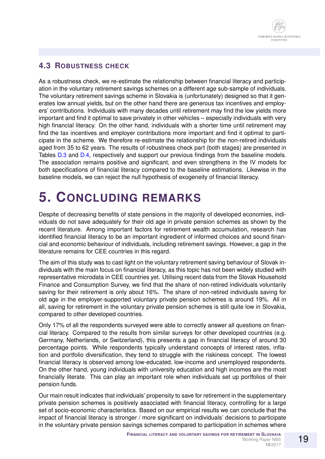### **4.3 ROBUSTNESS CHECK**

As a robustness check, we re-estimate the relationship between financial literacy and participation in the voluntary retirement savings schemes on a different age sub-sample of individuals. The voluntary retirement savings scheme in Slovakia is (unfortunately) designed so that it generates low annual yields, but on the other hand there are generous tax incentives and employers' contributions. Individuals with many decades until retirement may find the low yields more important and find it optimal to save privately in other vehicles – especially individuals with very high financial literacy. On the other hand, individuals with a shorter time until retirement may find the tax incentives and employer contributions more important and find it optimal to participate in the scheme. We therefore re-estimate the relationship for the non-retired individuals aged from 35 to 62 years. The results of robustness check part (both stages) are presented in Tables [D.3](#page-13-0) and [D.4,](#page-17-0) respectively and support our previous findings from the baseline models. The association remains positive and significant, and even strengthens in the IV models for both specifications of financial literacy compared to the baseline estimations. Likewise in the baseline models, we can reject the null hypothesis of exogeneity of financial literacy.

## <span id="page-18-0"></span>**5. CONCLUDING REMARKS**

Despite of decreasing benefits of state pensions in the majority of developed economies, individuals do not save adequately for their old age in private pension schemes as shown by the recent literature. Among important factors for retirement wealth accumulation, research has identified financial literacy to be an important ingredient of informed choices and sound financial and economic behaviour of individuals, including retirement savings. However, a gap in the literature remains for CEE countries in this regard.

The aim of this study was to cast light on the voluntary retirement saving behaviour of Slovak individuals with the main focus on financial literacy, as this topic has not been widely studied with representative microdata in CEE countries yet. Utilising recent data from the Slovak Household Finance and Consumption Survey, we find that the share of non-retired individuals voluntarily saving for their retirement is only about 16%. The share of non-retired individuals saving for old age in the employer-supported voluntary private pension schemes is around 19%. All in all, saving for retirement in the voluntary private pension schemes is still quite low in Slovakia, compared to other developed countries.

Only 17% of all the respondents surveyed were able to correctly answer all questions on financial literacy. Compared to the results from similar surveys for other developed countries (e.g. Germany, Netherlands, or Switzerland), this presents a gap in financial literacy of around 30 percentage points. While respondents typically understand concepts of interest rates, inflation and portfolio diversification, they tend to struggle with the riskiness concept. The lowest financial literacy is observed among low-educated, low-income and unemployed respondents. On the other hand, young individuals with university education and high incomes are the most financially literate. This can play an important role when individuals set up portfolios of their pension funds.

Our main result indicates that individuals' propensity to save for retirement in the supplementary private pension schemes is positively associated with financial literacy, controlling for a large set of socio-economic characteristics. Based on our empirical results we can conclude that the impact of financial literacy is stronger / more significant on individuals' decisions to participate in the voluntary private pension savings schemes compared to participation in schemes where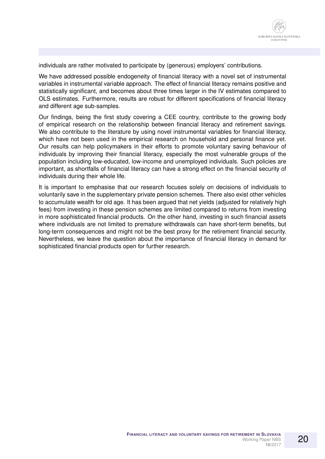individuals are rather motivated to participate by (generous) employers' contributions.

We have addressed possible endogeneity of financial literacy with a novel set of instrumental variables in instrumental variable approach. The effect of financial literacy remains positive and statistically significant, and becomes about three times larger in the IV estimates compared to OLS estimates. Furthermore, results are robust for different specifications of financial literacy and different age sub-samples.

Our findings, being the first study covering a CEE country, contribute to the growing body of empirical research on the relationship between financial literacy and retirement savings. We also contribute to the literature by using novel instrumental variables for financial literacy, which have not been used in the empirical research on household and personal finance yet. Our results can help policymakers in their efforts to promote voluntary saving behaviour of individuals by improving their financial literacy, especially the most vulnerable groups of the population including low-educated, low-income and unemployed individuals. Such policies are important, as shortfalls of financial literacy can have a strong effect on the financial security of individuals during their whole life.

It is important to emphasise that our research focuses solely on decisions of individuals to voluntarily save in the supplementary private pension schemes. There also exist other vehicles to accumulate wealth for old age. It has been argued that net yields (adjusted for relatively high fees) from investing in these pension schemes are limited compared to returns from investing in more sophisticated financial products. On the other hand, investing in such financial assets where individuals are not limited to premature withdrawals can have short-term benefits, but long-term consequences and might not be the best proxy for the retirement financial security. Nevertheless, we leave the question about the importance of financial literacy in demand for sophisticated financial products open for further research.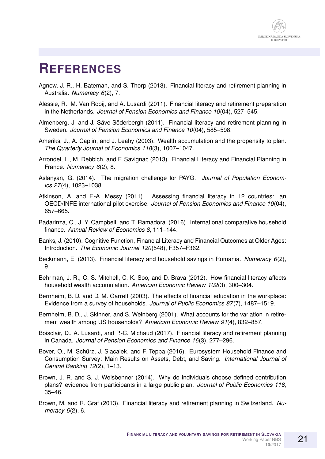### <span id="page-20-22"></span><span id="page-20-21"></span><span id="page-20-20"></span><span id="page-20-19"></span><span id="page-20-18"></span><span id="page-20-17"></span><span id="page-20-16"></span>**REFERENCES**

- <span id="page-20-13"></span>Agnew, J. R., H. Bateman, and S. Thorp (2013). Financial literacy and retirement planning in Australia. *Numeracy 6*(2), 7.
- <span id="page-20-12"></span>Alessie, R., M. Van Rooij, and A. Lusardi (2011). Financial literacy and retirement preparation in the Netherlands. *Journal of Pension Economics and Finance 10*(04), 527–545.
- Almenberg, J. and J. Säve-Söderbergh (2011). Financial literacy and retirement planning in Sweden. *Journal of Pension Economics and Finance 10*(04), 585–598.
- <span id="page-20-9"></span>Ameriks, J., A. Caplin, and J. Leahy (2003). Wealth accumulation and the propensity to plan. *The Quarterly Journal of Economics 118*(3), 1007–1047.
- <span id="page-20-15"></span>Arrondel, L., M. Debbich, and F. Savignac (2013). Financial Literacy and Financial Planning in France. *Numeracy 6*(2), 8.
- <span id="page-20-0"></span>Aslanyan, G. (2014). The migration challenge for PAYG. *Journal of Population Economics 27*(4), 1023–1038.
- <span id="page-20-5"></span>Atkinson, A. and F.-A. Messy (2011). Assessing financial literacy in 12 countries: an OECD/INFE international pilot exercise. *Journal of Pension Economics and Finance 10*(04), 657–665.
- <span id="page-20-6"></span>Badarinza, C., J. Y. Campbell, and T. Ramadorai (2016). International comparative household finance. *Annual Review of Economics 8*, 111–144.
- <span id="page-20-3"></span>Banks, J. (2010). Cognitive Function, Financial Literacy and Financial Outcomes at Older Ages: Introduction. *The Economic Journal 120*(548), F357–F362.
- <span id="page-20-7"></span>Beckmann, E. (2013). Financial literacy and household savings in Romania. *Numeracy 6*(2), 9.
- <span id="page-20-1"></span>Behrman, J. R., O. S. Mitchell, C. K. Soo, and D. Brava (2012). How financial literacy affects household wealth accumulation. *American Economic Review 102*(3), 300–304.
- <span id="page-20-2"></span>Bernheim, B. D. and D. M. Garrett (2003). The effects of financial education in the workplace: Evidence from a survey of households. *Journal of Public Economics 87*(7), 1487–1519.
- <span id="page-20-8"></span>Bernheim, B. D., J. Skinner, and S. Weinberg (2001). What accounts for the variation in retirement wealth among US households? *American Economic Review 91*(4), 832–857.
- <span id="page-20-10"></span>Boisclair, D., A. Lusardi, and P.-C. Michaud (2017). Financial literacy and retirement planning in Canada. *Journal of Pension Economics and Finance 16*(3), 277–296.
- <span id="page-20-11"></span>Bover, O., M. Schürz, J. Slacalek, and F. Teppa (2016). Eurosystem Household Finance and Consumption Survey: Main Results on Assets, Debt, and Saving. *International Journal of Central Banking 12*(2), 1–13.
- <span id="page-20-4"></span>Brown, J. R. and S. J. Weisbenner (2014). Why do individuals choose defined contribution plans? evidence from participants in a large public plan. *Journal of Public Economics 116*, 35–46.
- <span id="page-20-14"></span>Brown, M. and R. Graf (2013). Financial literacy and retirement planning in Switzerland. *Numeracy 6*(2), 6.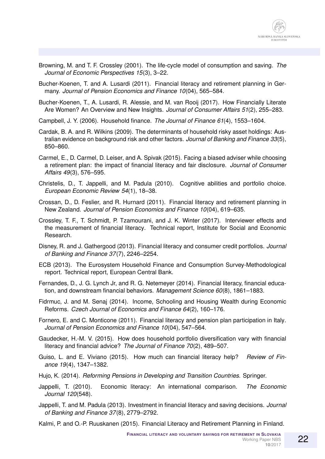- <span id="page-21-21"></span><span id="page-21-20"></span><span id="page-21-19"></span><span id="page-21-18"></span><span id="page-21-9"></span>Browning, M. and T. F. Crossley (2001). The life-cycle model of consumption and saving. *The Journal of Economic Perspectives 15*(3), 3–22.
- <span id="page-21-13"></span>Bucher-Koenen, T. and A. Lusardi (2011). Financial literacy and retirement planning in Germany. *Journal of Pension Economics and Finance 10*(04), 565–584.
- <span id="page-21-14"></span>Bucher-Koenen, T., A. Lusardi, R. Alessie, and M. van Rooij (2017). How Financially Literate Are Women? An Overview and New Insights. *Journal of Consumer Affairs 51*(2), 255–283.
- <span id="page-21-10"></span>Campbell, J. Y. (2006). Household finance. *The Journal of Finance 61*(4), 1553–1604.
- <span id="page-21-2"></span>Cardak, B. A. and R. Wilkins (2009). The determinants of household risky asset holdings: Australian evidence on background risk and other factors. *Journal of Banking and Finance 33*(5), 850–860.
- <span id="page-21-7"></span>Carmel, E., D. Carmel, D. Leiser, and A. Spivak (2015). Facing a biased adviser while choosing a retirement plan: the impact of financial literacy and fair disclosure. *Journal of Consumer Affairs 49*(3), 576–595.
- <span id="page-21-3"></span>Christelis, D., T. Jappelli, and M. Padula (2010). Cognitive abilities and portfolio choice. *European Economic Review 54*(1), 18–38.
- Crossan, D., D. Feslier, and R. Hurnard (2011). Financial literacy and retirement planning in New Zealand. *Journal of Pension Economics and Finance 10*(04), 619–635.
- <span id="page-21-1"></span>Crossley, T. F., T. Schmidt, P. Tzamourani, and J. K. Winter (2017). Interviewer effects and the measurement of financial literacy. Technical report, Institute for Social and Economic Research.
- <span id="page-21-6"></span>Disney, R. and J. Gathergood (2013). Financial literacy and consumer credit portfolios. *Journal of Banking and Finance 37*(7), 2246–2254.
- <span id="page-21-17"></span>ECB (2013). The Eurosystem Household Finance and Consumption Survey-Methodological report. Technical report, European Central Bank.
- <span id="page-21-11"></span>Fernandes, D., J. G. Lynch Jr, and R. G. Netemeyer (2014). Financial literacy, financial education, and downstream financial behaviors. *Management Science 60*(8), 1861–1883.
- <span id="page-21-16"></span>Fidrmuc, J. and M. Senaj (2014). Income, Schooling and Housing Wealth during Economic Reforms. *Czech Journal of Economics and Finance 64*(2), 160–176.
- <span id="page-21-15"></span>Fornero, E. and C. Monticone (2011). Financial literacy and pension plan participation in Italy. *Journal of Pension Economics and Finance 10*(04), 547–564.
- <span id="page-21-5"></span>Gaudecker, H.-M. V. (2015). How does household portfolio diversification vary with financial literacy and financial advice? *The Journal of Finance 70*(2), 489–507.
- <span id="page-21-4"></span>Guiso, L. and E. Viviano (2015). How much can financial literacy help? *Review of Finance 19*(4), 1347–1382.
- <span id="page-21-0"></span>Hujo, K. (2014). *Reforming Pensions in Developing and Transition Countries*. Springer.
- <span id="page-21-12"></span>Jappelli, T. (2010). Economic literacy: An international comparison. *The Economic Journal 120*(548).
- <span id="page-21-8"></span>Jappelli, T. and M. Padula (2013). Investment in financial literacy and saving decisions. *Journal of Banking and Finance 37*(8), 2779–2792.

Kalmi, P. and O.-P. Ruuskanen (2015). Financial Literacy and Retirement Planning in Finland.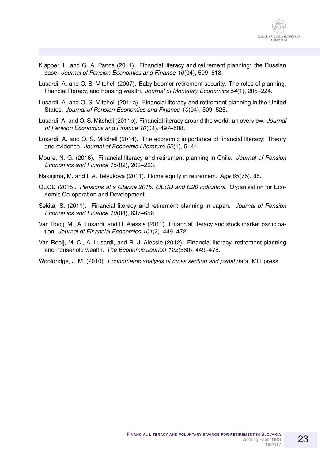- <span id="page-22-13"></span><span id="page-22-12"></span><span id="page-22-11"></span><span id="page-22-10"></span>Klapper, L. and G. A. Panos (2011). Financial literacy and retirement planning: the Russian case. *Journal of Pension Economics and Finance 10*(04), 599–618.
- <span id="page-22-2"></span>Lusardi, A. and O. S. Mitchell (2007). Baby boomer retirement security: The roles of planning, financial literacy, and housing wealth. *Journal of Monetary Economics 54*(1), 205–224.
- Lusardi, A. and O. S. Mitchell (2011a). Financial literacy and retirement planning in the United States. *Journal of Pension Economics and Finance 10*(04), 509–525.
- <span id="page-22-5"></span>Lusardi, A. and O. S. Mitchell (2011b). Financial literacy around the world: an overview. *Journal of Pension Economics and Finance 10*(04), 497–508.
- <span id="page-22-1"></span>Lusardi, A. and O. S. Mitchell (2014). The economic importance of financial literacy: Theory and evidence. *Journal of Economic Literature 52*(1), 5–44.
- <span id="page-22-7"></span>Moure, N. G. (2016). Financial literacy and retirement planning in Chile. *Journal of Pension Economics and Finance 15*(02), 203–223.
- <span id="page-22-8"></span>Nakajima, M. and I. A. Telyukova (2011). Home equity in retirement. *Age 65*(75), 85.
- <span id="page-22-0"></span>OECD (2015). *Pensions at a Glance 2015: OECD and G20 indicators*. Organisation for Economic Co-operation and Development.
- <span id="page-22-6"></span>Sekita, S. (2011). Financial literacy and retirement planning in Japan. *Journal of Pension Economics and Finance 10*(04), 637–656.
- <span id="page-22-4"></span>Van Rooij, M., A. Lusardi, and R. Alessie (2011). Financial literacy and stock market participation. *Journal of Financial Economics 101*(2), 449–472.
- <span id="page-22-3"></span>Van Rooij, M. C., A. Lusardi, and R. J. Alessie (2012). Financial literacy, retirement planning and household wealth. *The Economic Journal 122*(560), 449–478.

<span id="page-22-9"></span>Wooldridge, J. M. (2010). *Econometric analysis of cross section and panel data*. MIT press.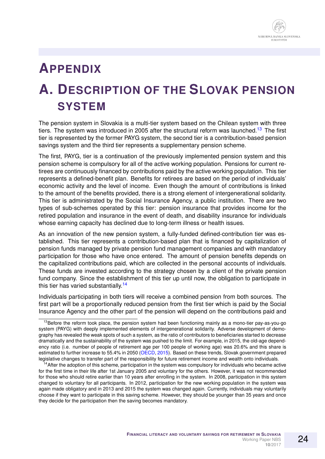

### **APPENDIX**

# <span id="page-23-0"></span>**A. DESCRIPTION OF THE SLOVAK PENSION SYSTEM**

The pension system in Slovakia is a multi-tier system based on the Chilean system with three tiers. The system was introduced in 2005 after the structural reform was launched.<sup>[13](#page-23-1)</sup> The first tier is represented by the former PAYG system, the second tier is a contribution-based pension savings system and the third tier represents a supplementary pension scheme.

The first, PAYG, tier is a continuation of the previously implemented pension system and this pension scheme is compulsory for all of the active working population. Pensions for current retirees are continuously financed by contributions paid by the active working population. This tier represents a defined-benefit plan. Benefits for retirees are based on the period of individuals' economic activity and the level of income. Even though the amount of contributions is linked to the amount of the benefits provided, there is a strong element of intergenerational solidarity. This tier is administrated by the Social Insurance Agency, a public institution. There are two types of sub-schemes operated by this tier: pension insurance that provides income for the retired population and insurance in the event of death, and disability insurance for individuals whose earning capacity has declined due to long-term illness or health issues.

As an innovation of the new pension system, a fully-funded defined-contribution tier was established. This tier represents a contribution-based plan that is financed by capitalization of pension funds managed by private pension fund management companies and with mandatory participation for those who have once entered. The amount of pension benefits depends on the capitalized contributions paid, which are collected in the personal accounts of individuals. These funds are invested according to the strategy chosen by a client of the private pension fund company. Since the establishment of this tier up until now, the obligation to participate in this tier has varied substantially.<sup>[14](#page-23-2)</sup>

Individuals participating in both tiers will receive a combined pension from both sources. The first part will be a proportionally reduced pension from the first tier which is paid by the Social Insurance Agency and the other part of the pension will depend on the contributions paid and

<span id="page-23-1"></span> $13$ Before the reform took place, the pension system had been functioning mainly as a mono-tier pay-as-you-go system (PAYG) with deeply implemented elements of intergenerational solidarity. Adverse development of demography has revealed the weak spots of such a system, as the ratio of contributors to beneficiaries started to decrease dramatically and the sustainability of the system was pushed to the limit. For example, in 2015, the old-age dependency ratio (i.e. number of people of retirement age per 100 people of working age) was 20.6% and this share is estimated to further increase to 55.4% in 2050 [\(OECD,](#page-22-0) [2015\)](#page-22-0). Based on these trends, Slovak government prepared legislative changes to transfer part of the responsibility for future retirement income and wealth onto individuals.

<span id="page-23-2"></span> $14$ After the adoption of this scheme, participation in the system was compulsory for individuals who became active for the first time in their life after 1st January 2005 and voluntary for the others. However, it was not recommended for those who should retire earlier than 10 years after enrolling in the system. In 2008, participation in this system changed to voluntary for all participants. In 2012, participation for the new working population in the system was again made obligatory and in 2013 and 2015 the system was changed again. Currently, individuals may voluntarily choose if they want to participate in this saving scheme. However, they should be younger than 35 years and once they decide for the participation then the saving becomes mandatory.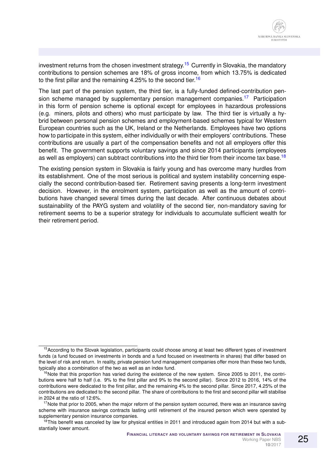investment returns from the chosen investment strategy.<sup>[15](#page-24-0)</sup> Currently in Slovakia, the mandatory contributions to pension schemes are 18% of gross income, from which 13.75% is dedicated to the first pillar and the remaining 4.25% to the second tier.<sup>[16](#page-24-1)</sup>

The last part of the pension system, the third tier, is a fully-funded defined-contribution pen-sion scheme managed by supplementary pension management companies.<sup>[17](#page-24-2)</sup> Participation in this form of pension scheme is optional except for employees in hazardous professions (e.g. miners, pilots and others) who must participate by law. The third tier is virtually a hybrid between personal pension schemes and employment-based schemes typical for Western European countries such as the UK, Ireland or the Netherlands. Employees have two options how to participate in this system, either individually or with their employers' contributions. These contributions are usually a part of the compensation benefits and not all employers offer this benefit. The government supports voluntary savings and since 2014 participants (employees as well as employers) can subtract contributions into the third tier from their income tax base.<sup>[18](#page-24-3)</sup>

The existing pension system in Slovakia is fairly young and has overcome many hurdles from its establishment. One of the most serious is political and system instability concerning especially the second contribution-based tier. Retirement saving presents a long-term investment decision. However, in the enrolment system, participation as well as the amount of contributions have changed several times during the last decade. After continuous debates about sustainability of the PAYG system and volatility of the second tier, non-mandatory saving for retirement seems to be a superior strategy for individuals to accumulate sufficient wealth for their retirement period.

<span id="page-24-0"></span><sup>&</sup>lt;sup>15</sup> According to the Slovak legislation, participants could choose among at least two different types of investment funds (a fund focused on investments in bonds and a fund focused on investments in shares) that differ based on the level of risk and return. In reality, private pension fund management companies offer more than these two funds, typically also a combination of the two as well as an index fund.

<span id="page-24-1"></span><sup>&</sup>lt;sup>16</sup>Note that this proportion has varied during the existence of the new system. Since 2005 to 2011, the contributions were half to half (i.e. 9% to the first pillar and 9% to the second pillar). Since 2012 to 2016, 14% of the contributions were dedicated to the first pillar, and the remaining 4% to the second pillar. Since 2017, 4.25% of the contributions are dedicated to the second pillar. The share of contributions to the first and second pillar will stabilise in 2024 at the ratio of 12:6%.

<span id="page-24-2"></span> $17$ Note that prior to 2005, when the major reform of the pension system occurred, there was an insurance saving scheme with insurance savings contracts lasting until retirement of the insured person which were operated by supplementary pension insurance companies.

<span id="page-24-3"></span> $18$ This benefit was canceled by law for physical entities in 2011 and introduced again from 2014 but with a substantially lower amount.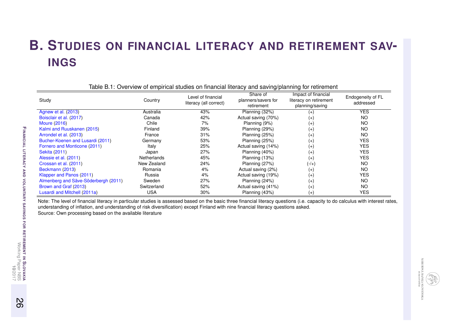### **B.STUDIES ON FINANCIAL LITERACY AND RETIREMENT SAV-INGS**

| Study                                | Country            | Level of financial<br>literacy (all correct) | Share of<br>planners/savers for<br>retirement | Impact of financial<br>literacy on retirement<br>planning/saving | Endogeneity of FL<br>addressed |
|--------------------------------------|--------------------|----------------------------------------------|-----------------------------------------------|------------------------------------------------------------------|--------------------------------|
| Agnew et al. (2013)                  | Australia          | 43%                                          | Planning (32%)                                | $(+)$                                                            | <b>YES</b>                     |
| Boisclair et al. (2017)              | Canada             | 42%                                          | Actual saving (70%)                           | $(+)$                                                            | NO                             |
| <b>Moure (2016)</b>                  | Chile              | 7%                                           | Planning (9%)                                 | $(+)$                                                            | NO                             |
| Kalmi and Ruuskanen (2015)           | Finland            | 39%                                          | Planning (29%)                                | $(+)$                                                            | NO                             |
| Arrondel et al. (2013)               | France             | 31%                                          | Planning (25%)                                | $^{(+)}$                                                         | NO                             |
| Bucher-Koenen and Lusardi (2011)     | Germany            | 53%                                          | Planning (25%)                                | $(+)$                                                            | <b>YES</b>                     |
| Fornero and Monticone (2011)         | Italy              | 25%                                          | Actual saving (14%)                           | $(+)$                                                            | <b>YES</b>                     |
| Sekita (2011)                        | Japan              | 27%                                          | Planning (40%)                                | $^{(+)}$                                                         | <b>YES</b>                     |
| Alessie et al. (2011)                | <b>Netherlands</b> | 45%                                          | Planning (13%)                                | $^{(+)}$                                                         | <b>YES</b>                     |
| Crossan et al. (2011)                | New Zealand        | 24%                                          | Planning (27%)                                | $(-/+)$                                                          | NO                             |
| Beckmann (2013)                      | Romania            | 4%                                           | Actual saving (2%)                            | $(+)$                                                            | NO                             |
| Klapper and Panos (2011)             | Russia             | 4%                                           | Actual saving (19%)                           | $^{(+)}$                                                         | <b>YES</b>                     |
| Almenberg and Säve-Söderbergh (2011) | Sweden             | 27%                                          | Planning (24%)                                | $^{(+)}$                                                         | NO                             |
| Brown and Graf (2013)                | Switzerland        | 52%                                          | Actual saving (41%)                           | $^{(+)}$                                                         | NO.                            |
| Lusardi and Mitchell (2011a)         | <b>USA</b>         | 30%                                          | Planning (43%)                                | $^{(+)}$                                                         | <b>YES</b>                     |

Table B.1: Overview of empirical studies on financial literacy and saving/planning for retirement

 Note: The level of financial literacy in particular studies is assessed based on the basic three financial literacy questions (i.e. capacity to do calculus with interest rates,understanding of inflation, and understanding of risk diversification) except Finland with nine financial literacy questions asked.

Source: Own processing based on the available literature

NOONN Á BANKA SLOVENSK.<br>EUROSYSTÉM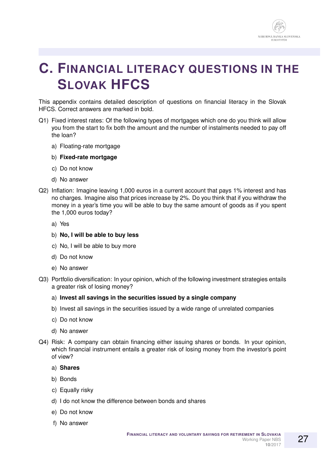

## <span id="page-26-0"></span>**C. FINANCIAL LITERACY QUESTIONS IN THE SLOVAK HFCS**

This appendix contains detailed description of questions on financial literacy in the Slovak HFCS. Correct answers are marked in bold.

- Q1) Fixed interest rates: Of the following types of mortgages which one do you think will allow you from the start to fix both the amount and the number of instalments needed to pay off the loan?
	- a) Floating-rate mortgage
	- b) **Fixed-rate mortgage**
	- c) Do not know
	- d) No answer
- Q2) Inflation: Imagine leaving 1,000 euros in a current account that pays 1% interest and has no charges. Imagine also that prices increase by 2%. Do you think that if you withdraw the money in a year's time you will be able to buy the same amount of goods as if you spent the 1,000 euros today?
	- a) Yes
	- b) **No, I will be able to buy less**
	- c) No, I will be able to buy more
	- d) Do not know
	- e) No answer
- Q3) Portfolio diversification: In your opinion, which of the following investment strategies entails a greater risk of losing money?
	- a) **Invest all savings in the securities issued by a single company**
	- b) Invest all savings in the securities issued by a wide range of unrelated companies
	- c) Do not know
	- d) No answer
- Q4) Risk: A company can obtain financing either issuing shares or bonds. In your opinion, which financial instrument entails a greater risk of losing money from the investor's point of view?
	- a) **Shares**
	- b) Bonds
	- c) Equally risky
	- d) I do not know the difference between bonds and shares
	- e) Do not know
	- f) No answer

27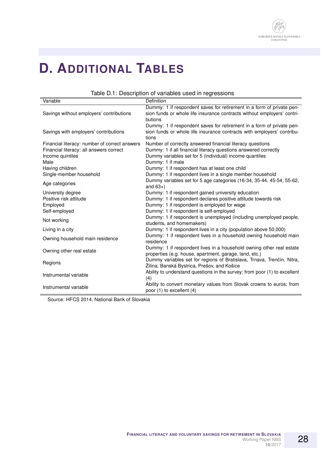

# **D. ADDITIONAL TABLES**

| Variable                                      | 010 <b>Different Company, 1999</b> and 2000 and 2001 and 2001 and 2001 and 2001 and 2001 and 2001 and 2001 and 2001 and<br>Definition |
|-----------------------------------------------|---------------------------------------------------------------------------------------------------------------------------------------|
|                                               | Dummy: 1 if respondent saves for retirement in a form of private pen-                                                                 |
| Savings without employers' contributions      | sion funds or whole life insurance contracts without employers' contri-                                                               |
|                                               | butions                                                                                                                               |
|                                               | Dummy: 1 if respondent saves for retirement in a form of private pen-                                                                 |
| Savings with employers' contributions         | sion funds or whole life insurance contracts with employers' contribu-                                                                |
|                                               | tions                                                                                                                                 |
| Financial literacy: number of correct answers | Number of correctly answered financial literacy questions                                                                             |
| Financial literacy: all answers correct       | Dummy: 1 if all financial literacy questions answered correctly                                                                       |
| Income quintiles                              | Dummy variables set for 5 (individual) income quantiles                                                                               |
| Male                                          | Dummy: 1 if male                                                                                                                      |
| Having children                               | Dummy: 1 if respondent has at least one child                                                                                         |
| Single-member household                       | Dummy: 1 if respondent lives in a single member household                                                                             |
|                                               | Dummy variables set for 5 age categories (16-34, 35-44, 45-54, 55-62,                                                                 |
| Age categories                                | and $63+$ )                                                                                                                           |
| University degree                             | Dummy: 1 if respondent gained university education                                                                                    |
| Positive risk attitude                        | Dummy: 1 if respondent declares positive attitude towards risk                                                                        |
| Employed                                      | Dummy: 1 if respondent is employed for wage                                                                                           |
| Self-employed                                 | Dummy: 1 if respondent is self-employed                                                                                               |
|                                               | Dummy: 1 if respondent is unemployed (including unemployed people,                                                                    |
| Not working                                   | students, and homemakers)                                                                                                             |
| Living in a city                              | Dummy: 1 if respondent lives in a city (population above 50,000)                                                                      |
|                                               | Dummy: 1 if respondent lives in a household owning household main                                                                     |
| Owning household main residence               | residence                                                                                                                             |
| Owning other real estate                      | Dummy: 1 if respondent lives in a household owning other real estate                                                                  |
|                                               | properties (e.g. house, apartment, garage, land, etc.)                                                                                |
| Regions                                       | Dummy variables set for regions of Bratislava, Trnava, Trenčín, Nitra,                                                                |
|                                               | Žilina, Banská Bystrica, Prešov, and Košice                                                                                           |
| Instrumental variable                         | Ability to understand questions in the survey; from poor (1) to excellent                                                             |
|                                               | (4)                                                                                                                                   |
| Instrumental variable                         | Ability to convert monetary values from Slovak crowns to euros; from                                                                  |
|                                               | poor (1) to excellent (4)                                                                                                             |

#### Table D.1: Description of variables used in regressions

Source: HFCS 2014, National Bank of Slovakia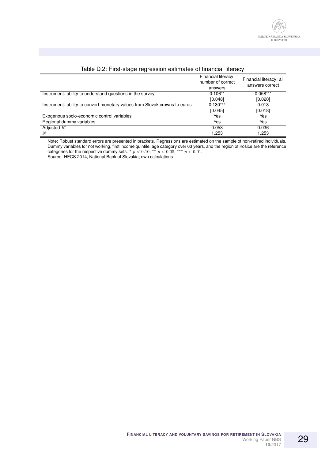|                                                                            | Financial literacy:<br>number of correct<br>answers | Financial literacy: all<br>answers correct |
|----------------------------------------------------------------------------|-----------------------------------------------------|--------------------------------------------|
| Instrument: ability to understand questions in the survey                  | $0.106**$                                           | $0.058***$                                 |
|                                                                            | [0.048]                                             | [0.020]                                    |
| Instrument: ability to convert monetary values from Slovak crowns to euros | $0.130***$                                          | 0.013                                      |
|                                                                            | [0.045]                                             | [0.018]                                    |
| Exogenous socio-economic control variables                                 | Yes                                                 | Yes                                        |
| Regional dummy variables                                                   | Yes                                                 | Yes                                        |
| Adjusted $R^2$                                                             | 0.058                                               | 0.036                                      |
| N                                                                          | 1,253                                               | 1,253                                      |

#### Table D.2: First-stage regression estimates of financial literacy

Note: Robust standard errors are presented in brackets. Regressions are estimated on the sample of non-retired individuals. Dummy variables for not working, first income quintile, age category over 63 years, and the region of Košice are the reference categories for the respective dummy sets.  $* p < 0.10, ** p < 0.05, ** p < 0.01$ . Source: HFCS 2014, National Bank of Slovakia; own calculations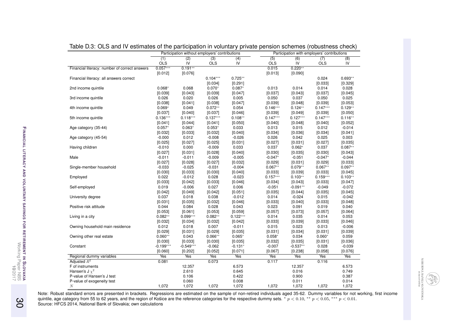|                                               |             | $\cdots$ parallel<br>Participation without employers' contributions |            | anon no colonial private |            |            | Participation with employers' contributions |           |
|-----------------------------------------------|-------------|---------------------------------------------------------------------|------------|--------------------------|------------|------------|---------------------------------------------|-----------|
|                                               | (1)         | (2)                                                                 | (3)        | (4)                      | (5)        | (6)        | (7)                                         | (8)       |
|                                               | <b>OLS</b>  | IV                                                                  | <b>OLS</b> | IV                       | <b>OLS</b> | IV         | <b>OLS</b>                                  | IV        |
| Financial literacy: number of correct answers | $0.057***$  | $0.191**$                                                           |            |                          | 0.015      | $0.220**$  |                                             |           |
|                                               | [0.012]     | [0.076]                                                             |            |                          | [0.013]    | [0.090]    |                                             |           |
| Financial literacy: all answers correct       |             |                                                                     | $0.104***$ | $0.725**$                |            |            | 0.024                                       | $0.693**$ |
|                                               |             |                                                                     | [0.034]    | [0.291]                  |            |            | [0.033]                                     | [0.329]   |
| 2nd income quintile                           | $0.068*$    | 0.068                                                               | $0.070*$   | $0.087*$                 | 0.013      | 0.014      | 0.014                                       | 0.028     |
|                                               | [0.039]     | [0.043]                                                             | [0.039]    | [0.047]                  | [0.037]    | [0.043]    | [0.037]                                     | [0.045]   |
| 3rd income quintile                           | 0.026       | 0.020                                                               | 0.026      | 0.005                    | 0.050      | 0.037      | 0.050                                       | 0.025     |
|                                               | [0.038]     | [0.041]                                                             | [0.038]    | [0.047]                  | [0.039]    | [0.048]    | [0.039]                                     | [0.053]   |
| 4th income quintile                           | $0.069*$    | 0.049                                                               | $0.072**$  | 0.054                    | $0.146***$ | $0.124**$  | $0.147***$                                  | $0.129**$ |
|                                               | [0.037]     | [0.040]                                                             | [0.037]    | [0.046]                  | [0.039]    | [0.049]    | [0.039]                                     | [0.050]   |
| 5th income quintile                           | $0.136***$  | $0.118***$                                                          | $0.137***$ | $0.108**$                | $0.147***$ | $0.127***$ | $0.147***$                                  | $0.116**$ |
|                                               | [0.041]     | [0.044]                                                             | [0.041]    | [0.050]                  | [0.040]    | [0.048]    | [0.040]                                     | [0.052]   |
| Age category (35-44)                          | $0.057*$    | $0.063*$                                                            | $0.053*$   | 0.033                    | 0.013      | 0.015      | 0.012                                       | $-0.014$  |
|                                               | [0.032]     | [0.033]                                                             | [0.032]    | [0.040]                  | [0.034]    | [0.036]    | [0.034]                                     | [0.041]   |
| Age category (45-54)                          | $-0.000$    | 0.012                                                               | $-0.008$   | $-0.026$                 | 0.026      | 0.042      | 0.025                                       | 0.003     |
|                                               | [0.025]     | [0.027]                                                             | [0.025]    | [0.031]                  | [0.027]    | [0.031]    | [0.027]                                     | [0.035]   |
| Having children                               | $-0.010$    | 0.000                                                               | $-0.009$   | 0.033                    | 0.037      | $0.062*$   | 0.037                                       | $0.087**$ |
|                                               | [0.027]     | [0.031]                                                             | [0.028]    | [0.040]                  | [0.030]    | [0.035]    | [0.030]                                     | [0.043]   |
| Male                                          | $-0.011$    | $-0.011$                                                            | $-0.009$   | $-0.005$                 | $-0.047*$  | $-0.051$   | $-0.047*$                                   | $-0.044$  |
|                                               | [0.027]     | [0.028]                                                             | [0.027]    | [0.032]                  | [0.029]    | [0.031]    | [0.029]                                     | [0.033]   |
| Single-member household                       | $-0.033$    | $-0.025$                                                            | $-0.031$   | $-0.004$                 | $0.067**$  | $0.079**$  | $0.067**$                                   | $0.097**$ |
|                                               | [0.030]     | [0.033]                                                             | [0.030]    | [0.040]                  | [0.033]    | [0.039]    | [0.033]                                     | [0.045]   |
| Employed                                      | 0.022       | $-0.012$                                                            | 0.028      | $-0.023$                 | $0.157***$ | $0.103**$  | $0.159***$                                  | $0.103**$ |
|                                               | [0.033]     | [0.042]                                                             | [0.033]    | [0.046]                  | [0.034]    | [0.043]    | [0.033]                                     | [0.047]   |
| Self-employed                                 | 0.019       | $-0.006$                                                            | 0.027      | 0.006                    | $-0.051$   | $-0.091**$ | $-0.049$                                    | $-0.072$  |
|                                               | [0.042]     | [0.049]                                                             | [0.042]    | [0.051]                  | [0.035]    | [0.044]    | [0.035]                                     | [0.045]   |
| University degree                             | 0.037       | 0.018                                                               | 0.038      | $-0.012$                 | 0.014      | $-0.024$   | 0.015                                       | $-0.042$  |
|                                               | [0.031]     | [0.035]                                                             | [0.032]    | [0.046]                  | [0.033]    | [0.040]    | [0.033]                                     | [0.048]   |
| Positive risk attitude                        | 0.044       | 0.084                                                               | 0.028      | 0.043                    | 0.023      | 0.091      | 0.019                                       | 0.040     |
|                                               | [0.053]     | [0.061]                                                             | [0.053]    | [0.059]                  | [0.057]    | [0.073]    | [0.057]                                     | [0.064]   |
| Living in a city                              | $0.082**$   | $0.099***$                                                          | $0.082**$  | $0.122***$               | 0.014      | 0.035      | 0.014                                       | 0.053     |
|                                               | [0.032]     | [0.034]                                                             | [0.032]    | [0.042]                  | [0.033]    | [0.039]    | [0.033]                                     | [0.046]   |
| Owning household main residence               | 0.012       | 0.018                                                               | 0.007      | $-0.011$                 | 0.015      | 0.023      | 0.013                                       | $-0.006$  |
|                                               | [0.029]     | [0.031]                                                             | [0.029]    | [0.035]                  | [0.031]    | [0.034]    | [0.031]                                     | [0.039]   |
| Owning other real estate                      | $0.060**$   | 0.043                                                               | $0.066**$  | $0.065*$                 | $0.058*$   | 0.034      | $0.060*$                                    | 0.059     |
|                                               | [0.030]     | [0.033]                                                             | [0.030]    | [0.035]                  | [0.032]    | [0.035]    | [0.031]                                     | [0.036]   |
| Constant                                      | $-0.199***$ | $-0.549***$                                                         | $-0.062$   | $-0.131*$                | $-0.007$   | $-0.537**$ | 0.028                                       | $-0.039$  |
|                                               | [0.060]     | [0.202]                                                             | [0.052]    | [0.071]                  | [0.067]    | [0.238]    | [0.058]                                     | [0.076]   |
| Regional dummy variables                      | Yes         | Yes                                                                 | Yes        | Yes                      | Yes        | Yes        | Yes                                         | Yes       |
| Adjusted $R^2$                                | 0.081       |                                                                     | 0.073      |                          | 0.117      |            | 0.116                                       |           |
| F of instruments                              |             | 12.357                                                              |            | 6.573                    |            | 12.357     |                                             | 6.573     |
| Hansen's J $\chi^2$                           |             | 2.610                                                               |            | 0.645                    |            | 0.016      |                                             | 0.749     |
| P-value of Hansen's J test                    |             | 0.106                                                               |            | 0.422                    |            | 0.900      |                                             | 0.387     |
| P-value of exogeneity test                    |             | 0.060                                                               |            | 0.008                    |            | 0.011      |                                             | 0.014     |
| $\boldsymbol{N}$                              | 1,072       | 1,072                                                               | 1,072      | 1,072                    | 1,072      | 1,072      | 1,072                                       | 1,072     |

Table D.3: OLS and IV estimates of the participation in voluntary private pension schemes (robustness check)

 $\frac{N}{10072}$  1,072 1,072 1,072 1,072 1,072 1,072 1,072 1,072 1,072 1,072 1,072 1,072 1,072 1,072 1,072 1,072 1,072 1,072 1,072 1,072 1,072 1,072 1,072 1,072 1,072 1,072 1,072 1,072 1,072 1,072 1,072 1,072 1,072 1,072 1,0 quintile, age category from 55 to 62 years, and the region of Košice are the reference categories for the respective dummy sets.  $* p < 0.10$ ,  $** p < 0.05$ ,  $** p < 0.01$ . Source: HFCS 2014, National Bank of Slovakia; own calculations

NÁRODNÁ BANKA SLOVENSKA<br>EUROSYSTÉM

30

/2017